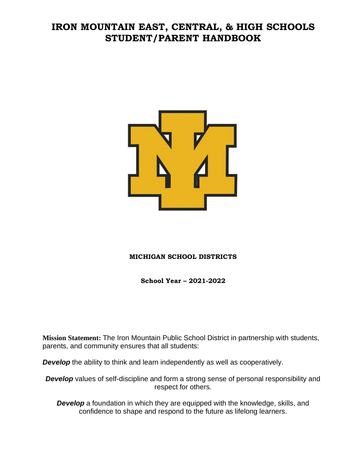# **IRON MOUNTAIN EAST, CENTRAL, & HIGH SCHOOLS STUDENT/PARENT HANDBOOK**



## **MICHIGAN SCHOOL DISTRICTS**

**School Year – 2021-2022**

**Mission Statement:** The Iron Mountain Public School District in partnership with students, parents, and community ensures that all students:

*Develop* the ability to think and learn independently as well as cooperatively.

**Develop** values of self-discipline and form a strong sense of personal responsibility and respect for others.

*Develop* a foundation in which they are equipped with the knowledge, skills, and confidence to shape and respond to the future as lifelong learners.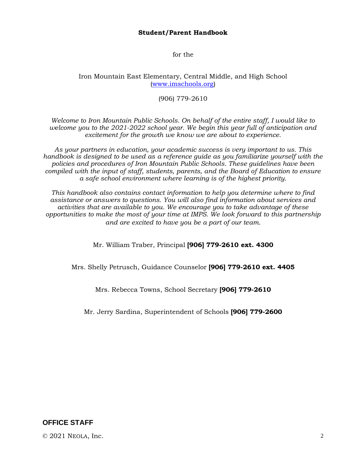### **Student/Parent Handbook**

for the

### Iron Mountain East Elementary, Central Middle, and High School [\(www.imschools.org\)](http://www.imschools.org/)

### (906) 779-2610

*Welcome to Iron Mountain Public Schools. On behalf of the entire staff, I would like to welcome you to the 2021-2022 school year. We begin this year full of anticipation and excitement for the growth we know we are about to experience.* 

*As your partners in education, your academic success is very important to us. This handbook is designed to be used as a reference guide as you familiarize yourself with the policies and procedures of Iron Mountain Public Schools. These guidelines have been compiled with the input of staff, students, parents, and the Board of Education to ensure a safe school environment where learning is of the highest priority.* 

*This handbook also contains contact information to help you determine where to find assistance or answers to questions. You will also find information about services and activities that are available to you. We encourage you to take advantage of these opportunities to make the most of your time at IMPS. We look forward to this partnership and are excited to have you be a part of our team*.

Mr. William Traber, Principal **[906] 779-2610 ext. 4300**

Mrs. Shelly Petrusch, Guidance Counselor **[906] 779-2610 ext. 4405**

Mrs. Rebecca Towns, School Secretary **[906] 779-2610**

Mr. Jerry Sardina, Superintendent of Schools **[906] 779-2600**

**OFFICE STAFF**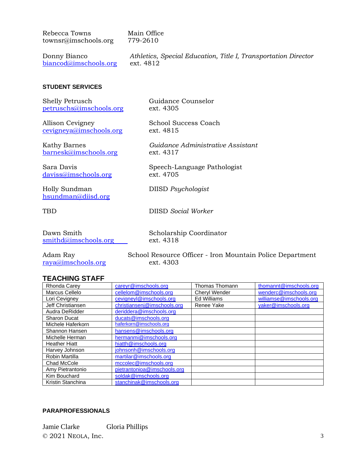| Rebecca Towns        | Main Office                                                    |
|----------------------|----------------------------------------------------------------|
| townsr@imschools.org | 779-2610                                                       |
| Donny Bianco         | Athletics, Special Education, Title I, Transportation Director |

Guidance Counselor

ext. 4305

#### **STUDENT SERVICES**

| <b>Shelly Petrusch</b>  |
|-------------------------|
| petruschs@imschools.org |

[biancod@imschools.org](mailto:biancod@imschools.org) ext. 4812

Allison Cevigney<br>
cevigneya@imschools.org<br>
ext. 4815  $cevigneva@imschools.org$ 

Kathy Barnes *Guidance Administrative Assistant* [barnesk@imschools.org](mailto:barnesk@imschools.org) ext. 4317

Sara Davis Speech-Language Pathologist [daviss@imschools.org](mailto:daviss@imschools.org) ext. 4705

Holly Sundman DIISD *Psychologist* [hsundman@diisd.org](mailto:hsundman@diisd.org)

TBD DIISD *Social Worker*

| Dawn Smith           |  |
|----------------------|--|
| smithd@imschools.org |  |

Scholarship Coordinator ext. 4318

[raya@imschools.org](mailto:raya@imschools.org) ext. 4303

Adam Ray School Resource Officer - Iron Mountain Police Department

### **TEACHING STAFF**

| Rhonda Carey         | careyr@imschools.org        | Thomas Thomann     | thomannt@imschools.org  |
|----------------------|-----------------------------|--------------------|-------------------------|
| Marcus Cellelo       | cellelom@imschools.org      | Cheryl Wender      | wenderc@imschools.org   |
| Lori Cevigney        | cevigneyl@imschools.org     | <b>Ed Williams</b> | williamse@imschools.org |
| Jeff Christiansen    | christiansenj@imschools.org | Renee Yake         | yaker@imschools.org     |
| Audra DeRidder       | deriddera@imschools.org     |                    |                         |
| <b>Sharon Ducat</b>  | ducats@imschools.org        |                    |                         |
| Michele Haferkorn    | haferkorn@imschools.org     |                    |                         |
| Shannon Hansen       | hansens@imschools.org       |                    |                         |
| Michelle Herman      | hermanmi@imschools.org      |                    |                         |
| <b>Heather Hiatt</b> | hiatth@imschools.org        |                    |                         |
| Harvey Johnson       | johnsonh@imschools.org      |                    |                         |
| Robin Martilla       | martilar@imschools.org      |                    |                         |
| Chad McCole          | mccolec@imschools.org       |                    |                         |
| Amy Pietrantonio     | pietrantonioa@imschools.org |                    |                         |
| Kim Bouchard         | soldak@imschools.org        |                    |                         |
| Kristin Stanchina    | stanchinak@imschools.org    |                    |                         |

### **PARAPROFESSIONALS**

© 2021 NEOLA, Inc. 3 Jamie Clarke Gloria Phillips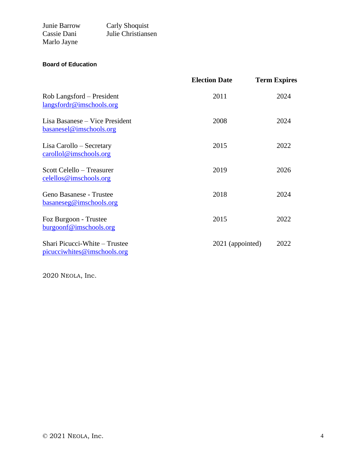| Junie Barrow | <b>Carly Shoquist</b> |
|--------------|-----------------------|
| Cassie Dani  | Julie Christiansen    |
| Marlo Jayne  |                       |

### **Board of Education**

|                                                              | <b>Election Date</b> | <b>Term Expires</b> |
|--------------------------------------------------------------|----------------------|---------------------|
| Rob Langsford – President<br>langsfordr@imschools.org        | 2011                 | 2024                |
| Lisa Basanese – Vice President<br>basanesel@imschools.org    | 2008                 | 2024                |
| Lisa Carollo – Secretary<br>carollol@imschools.org           | 2015                 | 2022                |
| Scott Celello – Treasurer<br>celellos@imschools.org          | 2019                 | 2026                |
| Geno Basanese - Trustee<br>basaneseg@imschools.org           | 2018                 | 2024                |
| Foz Burgoon - Trustee<br>burgoonf@imschools.org              | 2015                 | 2022                |
| Shari Picucci-White – Trustee<br>picucciwhites@imschools.org | 2021 (appointed)     | 2022                |

2020 NEOLA, Inc.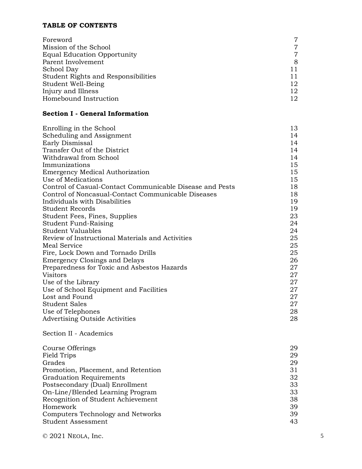## **TABLE OF CONTENTS**

| Foreword                                   | 7  |
|--------------------------------------------|----|
| Mission of the School                      | 7  |
| <b>Equal Education Opportunity</b>         |    |
| Parent Involvement                         | 8  |
| School Day                                 |    |
| <b>Student Rights and Responsibilities</b> |    |
| Student Well-Being                         | 12 |
| Injury and Illness                         | 12 |
| Homebound Instruction                      | 12 |

## **Section I - General Information**

| Enrolling in the School                                  | 13 |
|----------------------------------------------------------|----|
| Scheduling and Assignment                                | 14 |
| Early Dismissal                                          | 14 |
| Transfer Out of the District                             | 14 |
| Withdrawal from School                                   | 14 |
| Immunizations                                            | 15 |
| <b>Emergency Medical Authorization</b>                   | 15 |
| Use of Medications                                       | 15 |
| Control of Casual-Contact Communicable Disease and Pests | 18 |
| Control of Noncasual-Contact Communicable Diseases       | 18 |
| Individuals with Disabilities                            | 19 |
| Student Records                                          | 19 |
| Student Fees, Fines, Supplies                            | 23 |
| Student Fund-Raising                                     | 24 |
| Student Valuables                                        | 24 |
| Review of Instructional Materials and Activities         | 25 |
| Meal Service                                             | 25 |
| Fire, Lock Down and Tornado Drills                       | 25 |
| <b>Emergency Closings and Delays</b>                     | 26 |
| Preparedness for Toxic and Asbestos Hazards              | 27 |
| <b>Visitors</b>                                          | 27 |
| Use of the Library                                       | 27 |
| Use of School Equipment and Facilities                   | 27 |
| Lost and Found                                           | 27 |
| Student Sales                                            | 27 |
| Use of Telephones                                        | 28 |
| <b>Advertising Outside Activities</b>                    | 28 |
|                                                          |    |

## Section II - Academics

| Course Offerings                    | 29 |
|-------------------------------------|----|
| Field Trips                         | 29 |
| Grades                              | 29 |
| Promotion, Placement, and Retention | 31 |
| <b>Graduation Requirements</b>      | 32 |
| Postsecondary (Dual) Enrollment     | 33 |
| On-Line/Blended Learning Program    | 33 |
| Recognition of Student Achievement  | 38 |
| Homework                            | 39 |
| Computers Technology and Networks   | 39 |
| Student Assessment                  | 43 |

 $\odot$  2021 NEOLA, Inc. 5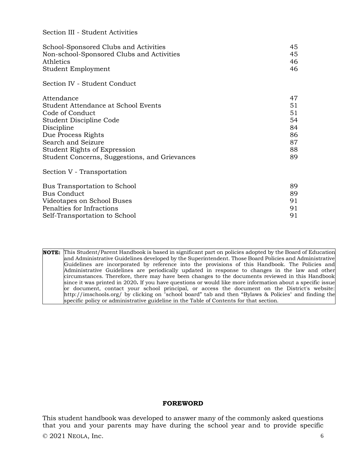### Section III - Student Activities

| School-Sponsored Clubs and Activities         | 45 |
|-----------------------------------------------|----|
| Non-school-Sponsored Clubs and Activities     | 45 |
| Athletics                                     | 46 |
| Student Employment                            | 46 |
| Section IV - Student Conduct                  |    |
| Attendance                                    | 47 |
| Student Attendance at School Events           | 51 |
| Code of Conduct                               | 51 |
| Student Discipline Code                       | 54 |
| Discipline                                    | 84 |
| Due Process Rights                            | 86 |
| Search and Seizure                            | 87 |
| Student Rights of Expression                  | 88 |
| Student Concerns, Suggestions, and Grievances | 89 |
| Section V - Transportation                    |    |
| Bus Transportation to School                  | 89 |
| <b>Bus Conduct</b>                            | 89 |
| Videotapes on School Buses                    | 91 |
| Penalties for Infractions                     | 91 |
| Self-Transportation to School                 | 91 |

**NOTE:** This Student/Parent Handbook is based in significant part on policies adopted by the Board of Education and Administrative Guidelines developed by the Superintendent. Those Board Policies and Administrative Guidelines are incorporated by reference into the provisions of this Handbook. The Policies and Administrative Guidelines are periodically updated in response to changes in the law and other circumstances. Therefore, there may have been changes to the documents reviewed in this Handbook since it was printed in 2020**.** If you have questions or would like more information about a specific issue or document, contact your school principal, or access the document on the District's website: http://imschools.org/ by clicking on "school board" tab and then "Bylaws & Policies" and finding the specific policy or administrative guideline in the Table of Contents for that section.

### **FOREWORD**

 $\odot$  2021 NEOLA, Inc. 6 This student handbook was developed to answer many of the commonly asked questions that you and your parents may have during the school year and to provide specific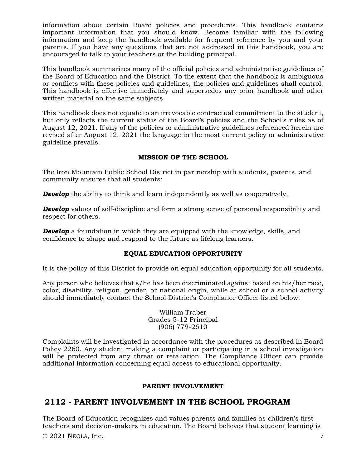information about certain Board policies and procedures. This handbook contains important information that you should know. Become familiar with the following information and keep the handbook available for frequent reference by you and your parents. If you have any questions that are not addressed in this handbook, you are encouraged to talk to your teachers or the building principal.

This handbook summarizes many of the official policies and administrative guidelines of the Board of Education and the District. To the extent that the handbook is ambiguous or conflicts with these policies and guidelines, the policies and guidelines shall control. This handbook is effective immediately and supersedes any prior handbook and other written material on the same subjects.

This handbook does not equate to an irrevocable contractual commitment to the student, but only reflects the current status of the Board's policies and the School's rules as of August 12, 2021. If any of the policies or administrative guidelines referenced herein are revised after August 12, 2021 the language in the most current policy or administrative guideline prevails.

### **MISSION OF THE SCHOOL**

The Iron Mountain Public School District in partnership with students, parents, and community ensures that all students:

*Develop* the ability to think and learn independently as well as cooperatively.

*Develop* values of self-discipline and form a strong sense of personal responsibility and respect for others.

**Develop** a foundation in which they are equipped with the knowledge, skills, and confidence to shape and respond to the future as lifelong learners.

#### **EQUAL EDUCATION OPPORTUNITY**

It is the policy of this District to provide an equal education opportunity for all students.

Any person who believes that s/he has been discriminated against based on his/her race, color, disability, religion, gender, or national origin, while at school or a school activity should immediately contact the School District's Compliance Officer listed below:

> William Traber Grades 5-12 Principal (906) 779-2610

Complaints will be investigated in accordance with the procedures as described in Board Policy 2260. Any student making a complaint or participating in a school investigation will be protected from any threat or retaliation. The Compliance Officer can provide additional information concerning equal access to educational opportunity.

#### **PARENT INVOLVEMENT**

## **2112 - PARENT INVOLVEMENT IN THE SCHOOL PROGRAM**

 $\odot$  2021 NEOLA, Inc.  $\qquad \qquad$  7 The Board of Education recognizes and values parents and families as children's first teachers and decision-makers in education. The Board believes that student learning is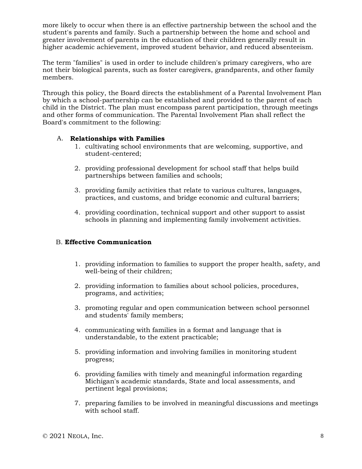more likely to occur when there is an effective partnership between the school and the student's parents and family. Such a partnership between the home and school and greater involvement of parents in the education of their children generally result in higher academic achievement, improved student behavior, and reduced absenteeism.

The term "families" is used in order to include children's primary caregivers, who are not their biological parents, such as foster caregivers, grandparents, and other family members.

Through this policy, the Board directs the establishment of a Parental Involvement Plan by which a school-partnership can be established and provided to the parent of each child in the District. The plan must encompass parent participation, through meetings and other forms of communication. The Parental Involvement Plan shall reflect the Board's commitment to the following:

### A. **Relationships with Families**

- 1. cultivating school environments that are welcoming, supportive, and student-centered;
- 2. providing professional development for school staff that helps build partnerships between families and schools;
- 3. providing family activities that relate to various cultures, languages, practices, and customs, and bridge economic and cultural barriers;
- 4. providing coordination, technical support and other support to assist schools in planning and implementing family involvement activities.

### B. **Effective Communication**

- 1. providing information to families to support the proper health, safety, and well-being of their children;
- 2. providing information to families about school policies, procedures, programs, and activities;
- 3. promoting regular and open communication between school personnel and students' family members;
- 4. communicating with families in a format and language that is understandable, to the extent practicable;
- 5. providing information and involving families in monitoring student progress;
- 6. providing families with timely and meaningful information regarding Michigan's academic standards, State and local assessments, and pertinent legal provisions;
- 7. preparing families to be involved in meaningful discussions and meetings with school staff.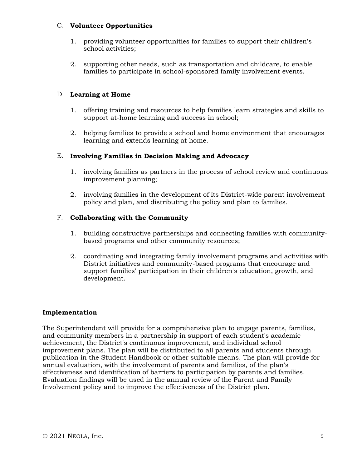### C. **Volunteer Opportunities**

- 1. providing volunteer opportunities for families to support their children's school activities;
- 2. supporting other needs, such as transportation and childcare, to enable families to participate in school-sponsored family involvement events.

### D. **Learning at Home**

- 1. offering training and resources to help families learn strategies and skills to support at-home learning and success in school;
- 2. helping families to provide a school and home environment that encourages learning and extends learning at home.

### E. **Involving Families in Decision Making and Advocacy**

- 1. involving families as partners in the process of school review and continuous improvement planning;
- 2. involving families in the development of its District-wide parent involvement policy and plan, and distributing the policy and plan to families.

### F. **Collaborating with the Community**

- 1. building constructive partnerships and connecting families with communitybased programs and other community resources;
- 2. coordinating and integrating family involvement programs and activities with District initiatives and community-based programs that encourage and support families' participation in their children's education, growth, and development.

### **Implementation**

The Superintendent will provide for a comprehensive plan to engage parents, families, and community members in a partnership in support of each student's academic achievement, the District's continuous improvement, and individual school improvement plans. The plan will be distributed to all parents and students through publication in the Student Handbook or other suitable means. The plan will provide for annual evaluation, with the involvement of parents and families, of the plan's effectiveness and identification of barriers to participation by parents and families. Evaluation findings will be used in the annual review of the Parent and Family Involvement policy and to improve the effectiveness of the District plan.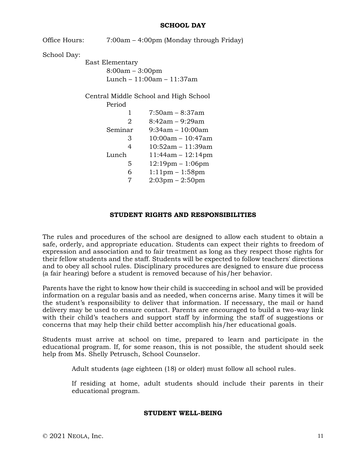#### **SCHOOL DAY**

Office Hours: 7:00am – 4:00pm (Monday through Friday) School Day: East Elementary 8:00am – 3:00pm Lunch – 11:00am – 11:37am Central Middle School and High School Period 1 7:50am – 8:37am 2 8:42am – 9:29am Seminar 9:34am – 10:00am 3 10:00am – 10:47am 4 10:52am – 11:39am Lunch 11:44am – 12:14pm 5 12:19pm – 1:06pm 6 1:11pm – 1:58pm 7 2:03pm – 2:50pm

#### **STUDENT RIGHTS AND RESPONSIBILITIES**

The rules and procedures of the school are designed to allow each student to obtain a safe, orderly, and appropriate education. Students can expect their rights to freedom of expression and association and to fair treatment as long as they respect those rights for their fellow students and the staff. Students will be expected to follow teachers' directions and to obey all school rules. Disciplinary procedures are designed to ensure due process (a fair hearing) before a student is removed because of his/her behavior.

Parents have the right to know how their child is succeeding in school and will be provided information on a regular basis and as needed, when concerns arise. Many times it will be the student's responsibility to deliver that information. If necessary, the mail or hand delivery may be used to ensure contact. Parents are encouraged to build a two-way link with their child's teachers and support staff by informing the staff of suggestions or concerns that may help their child better accomplish his/her educational goals.

Students must arrive at school on time, prepared to learn and participate in the educational program. If, for some reason, this is not possible, the student should seek help from Ms. Shelly Petrusch, School Counselor.

Adult students (age eighteen (18) or older) must follow all school rules.

If residing at home, adult students should include their parents in their educational program.

#### **STUDENT WELL-BEING**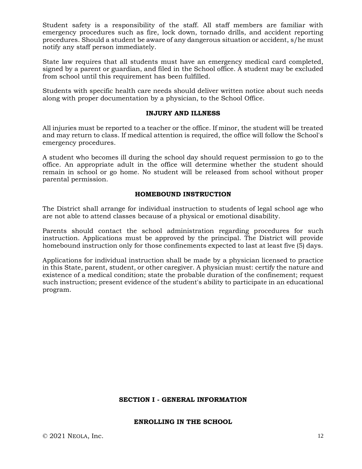Student safety is a responsibility of the staff. All staff members are familiar with emergency procedures such as fire, lock down, tornado drills, and accident reporting procedures. Should a student be aware of any dangerous situation or accident, s/he must notify any staff person immediately.

State law requires that all students must have an emergency medical card completed, signed by a parent or guardian, and filed in the School office. A student may be excluded from school until this requirement has been fulfilled.

Students with specific health care needs should deliver written notice about such needs along with proper documentation by a physician, to the School Office.

### **INJURY AND ILLNESS**

All injuries must be reported to a teacher or the office. If minor, the student will be treated and may return to class. If medical attention is required, the office will follow the School's emergency procedures.

A student who becomes ill during the school day should request permission to go to the office. An appropriate adult in the office will determine whether the student should remain in school or go home. No student will be released from school without proper parental permission.

### **HOMEBOUND INSTRUCTION**

The District shall arrange for individual instruction to students of legal school age who are not able to attend classes because of a physical or emotional disability.

Parents should contact the school administration regarding procedures for such instruction. Applications must be approved by the principal. The District will provide homebound instruction only for those confinements expected to last at least five (5) days.

Applications for individual instruction shall be made by a physician licensed to practice in this State, parent, student, or other caregiver. A physician must: certify the nature and existence of a medical condition; state the probable duration of the confinement; request such instruction; present evidence of the student's ability to participate in an educational program.

#### **SECTION I - GENERAL INFORMATION**

#### **ENROLLING IN THE SCHOOL**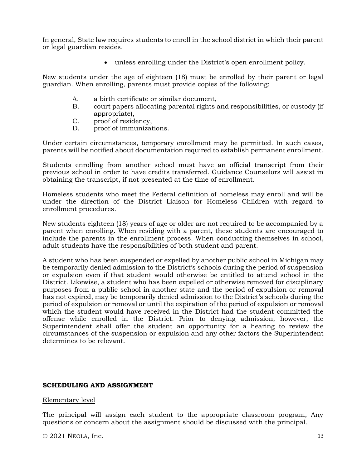In general, State law requires students to enroll in the school district in which their parent or legal guardian resides.

• unless enrolling under the District's open enrollment policy.

New students under the age of eighteen (18) must be enrolled by their parent or legal guardian. When enrolling, parents must provide copies of the following:

- A. a birth certificate or similar document,
- B. court papers allocating parental rights and responsibilities, or custody (if appropriate),
- C. proof of residency,
- D. proof of immunizations.

Under certain circumstances, temporary enrollment may be permitted. In such cases, parents will be notified about documentation required to establish permanent enrollment.

Students enrolling from another school must have an official transcript from their previous school in order to have credits transferred. Guidance Counselors will assist in obtaining the transcript, if not presented at the time of enrollment.

Homeless students who meet the Federal definition of homeless may enroll and will be under the direction of the District Liaison for Homeless Children with regard to enrollment procedures.

New students eighteen (18) years of age or older are not required to be accompanied by a parent when enrolling. When residing with a parent, these students are encouraged to include the parents in the enrollment process. When conducting themselves in school, adult students have the responsibilities of both student and parent.

A student who has been suspended or expelled by another public school in Michigan may be temporarily denied admission to the District's schools during the period of suspension or expulsion even if that student would otherwise be entitled to attend school in the District. Likewise, a student who has been expelled or otherwise removed for disciplinary purposes from a public school in another state and the period of expulsion or removal has not expired, may be temporarily denied admission to the District's schools during the period of expulsion or removal or until the expiration of the period of expulsion or removal which the student would have received in the District had the student committed the offense while enrolled in the District. Prior to denying admission, however, the Superintendent shall offer the student an opportunity for a hearing to review the circumstances of the suspension or expulsion and any other factors the Superintendent determines to be relevant.

#### **SCHEDULING AND ASSIGNMENT**

#### Elementary level

The principal will assign each student to the appropriate classroom program, Any questions or concern about the assignment should be discussed with the principal.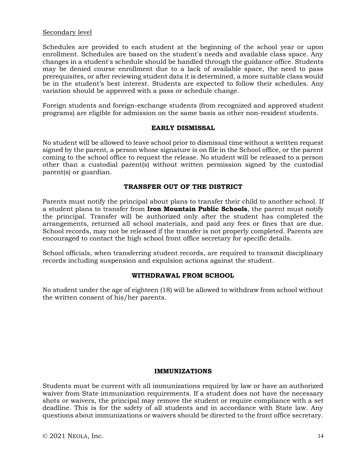### Secondary level

Schedules are provided to each student at the beginning of the school year or upon enrollment. Schedules are based on the student's needs and available class space. Any changes in a student's schedule should be handled through the guidance office. Students may be denied course enrollment due to a lack of available space, the need to pass prerequisites, or after reviewing student data it is determined, a more suitable class would be in the student's best interest. Students are expected to follow their schedules. Any variation should be approved with a pass or schedule change.

Foreign students and foreign-exchange students (from recognized and approved student programs) are eligible for admission on the same basis as other non-resident students.

#### **EARLY DISMISSAL**

No student will be allowed to leave school prior to dismissal time without a written request signed by the parent, a person whose signature is on file in the School office, or the parent coming to the school office to request the release. No student will be released to a person other than a custodial parent(s) without written permission signed by the custodial parent(s) or guardian.

#### **TRANSFER OUT OF THE DISTRICT**

Parents must notify the principal about plans to transfer their child to another school. If a student plans to transfer from **Iron Mountain Public Schools**, the parent must notify the principal. Transfer will be authorized only after the student has completed the arrangements, returned all school materials, and paid any fees or fines that are due. School records, may not be released if the transfer is not properly completed. Parents are encouraged to contact the high school front office secretary for specific details.

School officials, when transferring student records, are required to transmit disciplinary records including suspension and expulsion actions against the student.

#### **WITHDRAWAL FROM SCHOOL**

No student under the age of eighteen (18) will be allowed to withdraw from school without the written consent of his/her parents.

#### **IMMUNIZATIONS**

Students must be current with all immunizations required by law or have an authorized waiver from State immunization requirements. If a student does not have the necessary shots or waivers, the principal may remove the student or require compliance with a set deadline. This is for the safety of all students and in accordance with State law. Any questions about immunizations or waivers should be directed to the front office secretary.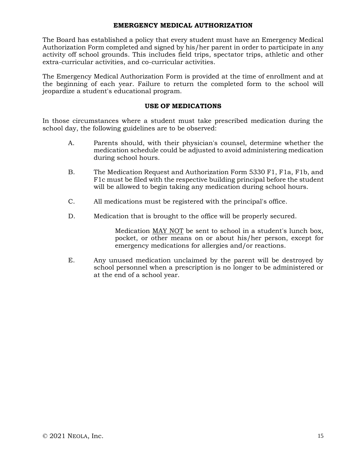#### **EMERGENCY MEDICAL AUTHORIZATION**

The Board has established a policy that every student must have an Emergency Medical Authorization Form completed and signed by his/her parent in order to participate in any activity off school grounds. This includes field trips, spectator trips, athletic and other extra-curricular activities, and co-curricular activities.

The Emergency Medical Authorization Form is provided at the time of enrollment and at the beginning of each year. Failure to return the completed form to the school will jeopardize a student's educational program.

### **USE OF MEDICATIONS**

In those circumstances where a student must take prescribed medication during the school day, the following guidelines are to be observed:

- A. Parents should, with their physician's counsel, determine whether the medication schedule could be adjusted to avoid administering medication during school hours.
- B. The Medication Request and Authorization Form 5330 F1, F1a, F1b, and F1c must be filed with the respective building principal before the student will be allowed to begin taking any medication during school hours.
- C. All medications must be registered with the principal's office.
- D. Medication that is brought to the office will be properly secured.

Medication MAY NOT be sent to school in a student's lunch box, pocket, or other means on or about his/her person, except for emergency medications for allergies and/or reactions.

E. Any unused medication unclaimed by the parent will be destroyed by school personnel when a prescription is no longer to be administered or at the end of a school year.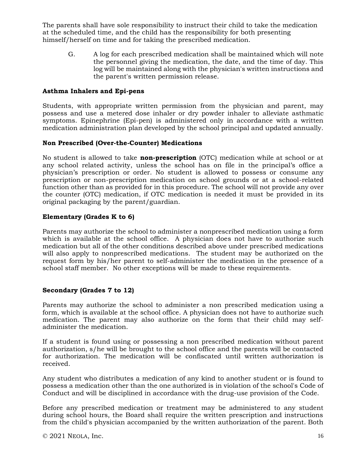The parents shall have sole responsibility to instruct their child to take the medication at the scheduled time, and the child has the responsibility for both presenting himself/herself on time and for taking the prescribed medication.

G. A log for each prescribed medication shall be maintained which will note the personnel giving the medication, the date, and the time of day. This log will be maintained along with the physician's written instructions and the parent's written permission release.

### **Asthma Inhalers and Epi-pens**

Students, with appropriate written permission from the physician and parent, may possess and use a metered dose inhaler or dry powder inhaler to alleviate asthmatic symptoms. Epinephrine (Epi-pen) is administered only in accordance with a written medication administration plan developed by the school principal and updated annually.

### **Non Prescribed (Over-the-Counter) Medications**

No student is allowed to take **non-prescription** (OTC) medication while at school or at any school related activity, unless the school has on file in the principal's office a physician's prescription or order. No student is allowed to possess or consume any prescription or non-prescription medication on school grounds or at a school-related function other than as provided for in this procedure. The school will not provide any over the counter (OTC) medication, if OTC medication is needed it must be provided in its original packaging by the parent/guardian.

### **Elementary (Grades K to 6)**

Parents may authorize the school to administer a nonprescribed medication using a form which is available at the school office. A physician does not have to authorize such medication but all of the other conditions described above under prescribed medications will also apply to nonprescribed medications. The student may be authorized on the request form by his/her parent to self-administer the medication in the presence of a school staff member. No other exceptions will be made to these requirements.

### **Secondary (Grades 7 to 12)**

Parents may authorize the school to administer a non prescribed medication using a form, which is available at the school office. A physician does not have to authorize such medication. The parent may also authorize on the form that their child may selfadminister the medication.

If a student is found using or possessing a non prescribed medication without parent authorization, s/he will be brought to the school office and the parents will be contacted for authorization. The medication will be confiscated until written authorization is received.

Any student who distributes a medication of any kind to another student or is found to possess a medication other than the one authorized is in violation of the school's Code of Conduct and will be disciplined in accordance with the drug-use provision of the Code.

Before any prescribed medication or treatment may be administered to any student during school hours, the Board shall require the written prescription and instructions from the child's physician accompanied by the written authorization of the parent. Both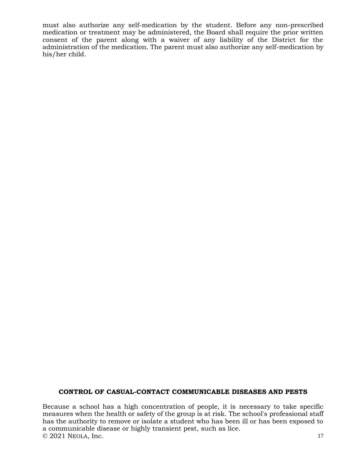must also authorize any self-medication by the student. Before any non-prescribed medication or treatment may be administered, the Board shall require the prior written consent of the parent along with a waiver of any liability of the District for the administration of the medication. The parent must also authorize any self-medication by his/her child.

### **CONTROL OF CASUAL-CONTACT COMMUNICABLE DISEASES AND PESTS**

© 2021 NEOLA, Inc. 17 Because a school has a high concentration of people, it is necessary to take specific measures when the health or safety of the group is at risk. The school's professional staff has the authority to remove or isolate a student who has been ill or has been exposed to a communicable disease or highly transient pest, such as lice.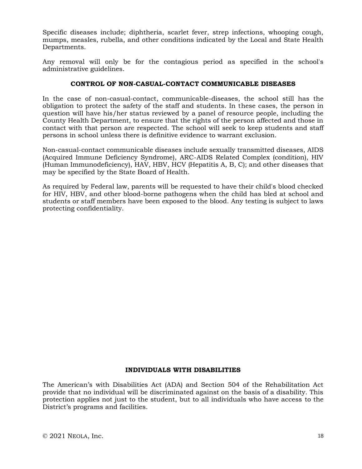Specific diseases include; diphtheria, scarlet fever, strep infections, whooping cough, mumps, measles, rubella, and other conditions indicated by the Local and State Health Departments.

Any removal will only be for the contagious period as specified in the school's administrative guidelines.

#### **CONTROL OF NON-CASUAL-CONTACT COMMUNICABLE DISEASES**

In the case of non-casual-contact, communicable-diseases, the school still has the obligation to protect the safety of the staff and students. In these cases, the person in question will have his/her status reviewed by a panel of resource people, including the County Health Department, to ensure that the rights of the person affected and those in contact with that person are respected. The school will seek to keep students and staff persons in school unless there is definitive evidence to warrant exclusion.

Non-casual-contact communicable diseases include sexually transmitted diseases, AIDS (Acquired Immune Deficiency Syndrome), ARC-AIDS Related Complex (condition), HIV (Human Immunodeficiency), HAV, HBV, HCV (Hepatitis A, B, C); and other diseases that may be specified by the State Board of Health.

As required by Federal law, parents will be requested to have their child's blood checked for HIV, HBV, and other blood-borne pathogens when the child has bled at school and students or staff members have been exposed to the blood. Any testing is subject to laws protecting confidentiality.

#### **INDIVIDUALS WITH DISABILITIES**

The American's with Disabilities Act (ADA) and Section 504 of the Rehabilitation Act provide that no individual will be discriminated against on the basis of a disability. This protection applies not just to the student, but to all individuals who have access to the District's programs and facilities.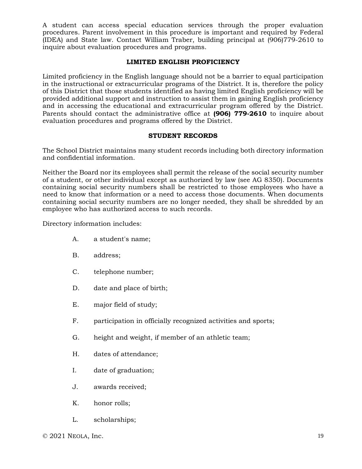A student can access special education services through the proper evaluation procedures. Parent involvement in this procedure is important and required by Federal (IDEA) and State law. Contact William Traber, building principal at (906)779-2610 to inquire about evaluation procedures and programs.

### **LIMITED ENGLISH PROFICIENCY**

Limited proficiency in the English language should not be a barrier to equal participation in the instructional or extracurricular programs of the District. It is, therefore the policy of this District that those students identified as having limited English proficiency will be provided additional support and instruction to assist them in gaining English proficiency and in accessing the educational and extracurricular program offered by the District. Parents should contact the administrative office at **(906) 779-2610** to inquire about evaluation procedures and programs offered by the District.

#### **STUDENT RECORDS**

The School District maintains many student records including both directory information and confidential information.

Neither the Board nor its employees shall permit the release of the social security number of a student, or other individual except as authorized by law (see AG 8350). Documents containing social security numbers shall be restricted to those employees who have a need to know that information or a need to access those documents. When documents containing social security numbers are no longer needed, they shall be shredded by an employee who has authorized access to such records.

Directory information includes:

- A. a student's name;
- B. address;
- C. telephone number;
- D. date and place of birth;
- E. major field of study;
- F. participation in officially recognized activities and sports;
- G. height and weight, if member of an athletic team;
- H. dates of attendance;
- I. date of graduation;
- J. awards received;
- K. honor rolls;
- L. scholarships;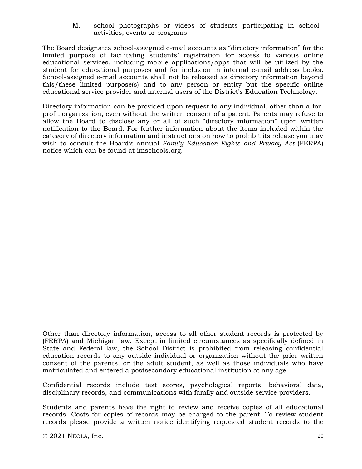M. school photographs or videos of students participating in school activities, events or programs.

The Board designates school-assigned e-mail accounts as "directory information" for the limited purpose of facilitating students' registration for access to various online educational services, including mobile applications/apps that will be utilized by the student for educational purposes and for inclusion in internal e-mail address books. School-assigned e-mail accounts shall not be released as directory information beyond this/these limited purpose(s) and to any person or entity but the specific online educational service provider and internal users of the District's Education Technology.

Directory information can be provided upon request to any individual, other than a forprofit organization, even without the written consent of a parent. Parents may refuse to allow the Board to disclose any or all of such "directory information" upon written notification to the Board. For further information about the items included within the category of directory information and instructions on how to prohibit its release you may wish to consult the Board's annual *Family Education Rights and Privacy Act* (FERPA) notice which can be found at imschools.org.

Other than directory information, access to all other student records is protected by (FERPA) and Michigan law. Except in limited circumstances as specifically defined in State and Federal law, the School District is prohibited from releasing confidential education records to any outside individual or organization without the prior written consent of the parents, or the adult student, as well as those individuals who have matriculated and entered a postsecondary educational institution at any age.

Confidential records include test scores, psychological reports, behavioral data, disciplinary records, and communications with family and outside service providers.

Students and parents have the right to review and receive copies of all educational records. Costs for copies of records may be charged to the parent. To review student records please provide a written notice identifying requested student records to the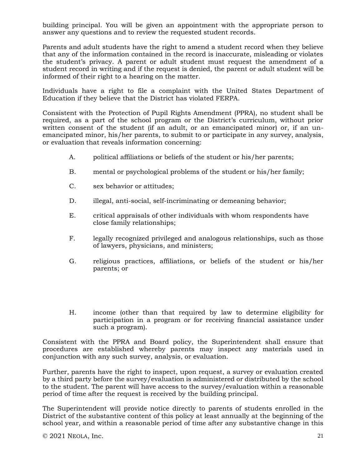building principal. You will be given an appointment with the appropriate person to answer any questions and to review the requested student records.

Parents and adult students have the right to amend a student record when they believe that any of the information contained in the record is inaccurate, misleading or violates the student's privacy. A parent or adult student must request the amendment of a student record in writing and if the request is denied, the parent or adult student will be informed of their right to a hearing on the matter.

Individuals have a right to file a complaint with the United States Department of Education if they believe that the District has violated FERPA.

Consistent with the Protection of Pupil Rights Amendment (PPRA), no student shall be required, as a part of the school program or the District's curriculum, without prior written consent of the student (if an adult, or an emancipated minor) or, if an unemancipated minor, his/her parents, to submit to or participate in any survey, analysis, or evaluation that reveals information concerning:

- A. political affiliations or beliefs of the student or his/her parents;
- B. mental or psychological problems of the student or his/her family;
- C. sex behavior or attitudes;
- D. illegal, anti-social, self-incriminating or demeaning behavior;
- E. critical appraisals of other individuals with whom respondents have close family relationships;
- F. legally recognized privileged and analogous relationships, such as those of lawyers, physicians, and ministers;
- G. religious practices, affiliations, or beliefs of the student or his/her parents; or
- H. income (other than that required by law to determine eligibility for participation in a program or for receiving financial assistance under such a program).

Consistent with the PPRA and Board policy, the Superintendent shall ensure that procedures are established whereby parents may inspect any materials used in conjunction with any such survey, analysis, or evaluation.

Further, parents have the right to inspect, upon request, a survey or evaluation created by a third party before the survey/evaluation is administered or distributed by the school to the student. The parent will have access to the survey/evaluation within a reasonable period of time after the request is received by the building principal.

The Superintendent will provide notice directly to parents of students enrolled in the District of the substantive content of this policy at least annually at the beginning of the school year, and within a reasonable period of time after any substantive change in this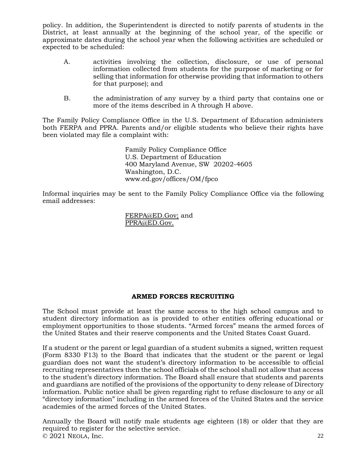policy. In addition, the Superintendent is directed to notify parents of students in the District, at least annually at the beginning of the school year, of the specific or approximate dates during the school year when the following activities are scheduled or expected to be scheduled:

- A. activities involving the collection, disclosure, or use of personal information collected from students for the purpose of marketing or for selling that information for otherwise providing that information to others for that purpose); and
- B. the administration of any survey by a third party that contains one or more of the items described in A through H above.

The Family Policy Compliance Office in the U.S. Department of Education administers both FERPA and PPRA. Parents and/or eligible students who believe their rights have been violated may file a complaint with:

> Family Policy Compliance Office U.S. Department of Education 400 Maryland Avenue, SW 20202-4605 Washington, D.C. www.ed.gov/offices/OM/fpco

Informal inquiries may be sent to the Family Policy Compliance Office via the following email addresses:

> [FERPA@ED.Gov;](about:blank) and [PPRA@ED.Gov.](mailto:PPRA@ED.Gov)

### **ARMED FORCES RECRUITING**

The School must provide at least the same access to the high school campus and to student directory information as is provided to other entities offering educational or employment opportunities to those students. "Armed forces" means the armed forces of the United States and their reserve components and the United States Coast Guard.

If a student or the parent or legal guardian of a student submits a signed, written request (Form 8330 F13) to the Board that indicates that the student or the parent or legal guardian does not want the student's directory information to be accessible to official recruiting representatives then the school officials of the school shall not allow that access to the student's directory information. The Board shall ensure that students and parents and guardians are notified of the provisions of the opportunity to deny release of Directory information. Public notice shall be given regarding right to refuse disclosure to any or all "directory information" including in the armed forces of the United States and the service academies of the armed forces of the United States.

© 2021 NEOLA, Inc. 22 Annually the Board will notify male students age eighteen (18) or older that they are required to register for the selective service.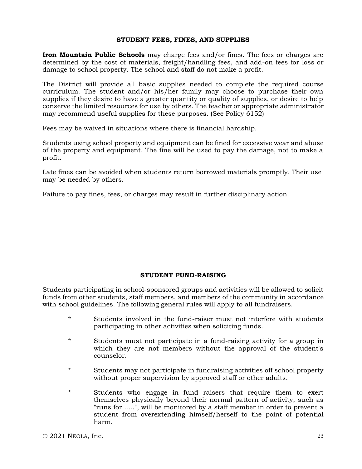#### **STUDENT FEES, FINES, AND SUPPLIES**

**Iron Mountain Public Schools** may charge fees and/or fines. The fees or charges are determined by the cost of materials, freight/handling fees, and add-on fees for loss or damage to school property. The school and staff do not make a profit.

The District will provide all basic supplies needed to complete the required course curriculum. The student and/or his/her family may choose to purchase their own supplies if they desire to have a greater quantity or quality of supplies, or desire to help conserve the limited resources for use by others. The teacher or appropriate administrator may recommend useful supplies for these purposes. (See Policy 6152)

Fees may be waived in situations where there is financial hardship.

Students using school property and equipment can be fined for excessive wear and abuse of the property and equipment. The fine will be used to pay the damage, not to make a profit.

Late fines can be avoided when students return borrowed materials promptly. Their use may be needed by others.

Failure to pay fines, fees, or charges may result in further disciplinary action.

#### **STUDENT FUND-RAISING**

Students participating in school-sponsored groups and activities will be allowed to solicit funds from other students, staff members, and members of the community in accordance with school guidelines. The following general rules will apply to all fundraisers.

- \* Students involved in the fund-raiser must not interfere with students participating in other activities when soliciting funds.
- \* Students must not participate in a fund-raising activity for a group in which they are not members without the approval of the student's counselor.
- \* Students may not participate in fundraising activities off school property without proper supervision by approved staff or other adults.
- \* Students who engage in fund raisers that require them to exert themselves physically beyond their normal pattern of activity, such as "runs for .....", will be monitored by a staff member in order to prevent a student from overextending himself/herself to the point of potential harm.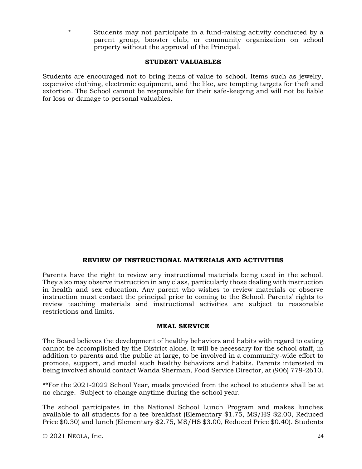\* Students may not participate in a fund-raising activity conducted by a parent group, booster club, or community organization on school property without the approval of the Principal.

### **STUDENT VALUABLES**

Students are encouraged not to bring items of value to school. Items such as jewelry, expensive clothing, electronic equipment, and the like, are tempting targets for theft and extortion. The School cannot be responsible for their safe-keeping and will not be liable for loss or damage to personal valuables.

#### **REVIEW OF INSTRUCTIONAL MATERIALS AND ACTIVITIES**

Parents have the right to review any instructional materials being used in the school. They also may observe instruction in any class, particularly those dealing with instruction in health and sex education. Any parent who wishes to review materials or observe instruction must contact the principal prior to coming to the School. Parents' rights to review teaching materials and instructional activities are subject to reasonable restrictions and limits.

#### **MEAL SERVICE**

The Board believes the development of healthy behaviors and habits with regard to eating cannot be accomplished by the District alone. It will be necessary for the school staff, in addition to parents and the public at large, to be involved in a community-wide effort to promote, support, and model such healthy behaviors and habits. Parents interested in being involved should contact Wanda Sherman, Food Service Director, at (906) 779-2610.

\*\*For the 2021-2022 School Year, meals provided from the school to students shall be at no charge. Subject to change anytime during the school year.

The school participates in the National School Lunch Program and makes lunches available to all students for a fee breakfast (Elementary \$1.75, MS/HS \$2.00, Reduced Price \$0.30) and lunch (Elementary \$2.75, MS/HS \$3.00, Reduced Price \$0.40). Students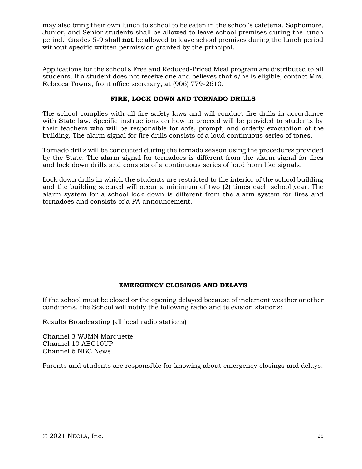may also bring their own lunch to school to be eaten in the school's cafeteria. Sophomore, Junior, and Senior students shall be allowed to leave school premises during the lunch period. Grades 5-9 shall **not** be allowed to leave school premises during the lunch period without specific written permission granted by the principal.

Applications for the school's Free and Reduced-Priced Meal program are distributed to all students. If a student does not receive one and believes that s/he is eligible, contact Mrs. Rebecca Towns, front office secretary, at (906) 779-2610.

### **FIRE, LOCK DOWN AND TORNADO DRILLS**

The school complies with all fire safety laws and will conduct fire drills in accordance with State law. Specific instructions on how to proceed will be provided to students by their teachers who will be responsible for safe, prompt, and orderly evacuation of the building. The alarm signal for fire drills consists of a loud continuous series of tones.

Tornado drills will be conducted during the tornado season using the procedures provided by the State. The alarm signal for tornadoes is different from the alarm signal for fires and lock down drills and consists of a continuous series of loud horn like signals.

Lock down drills in which the students are restricted to the interior of the school building and the building secured will occur a minimum of two (2) times each school year. The alarm system for a school lock down is different from the alarm system for fires and tornadoes and consists of a PA announcement.

### **EMERGENCY CLOSINGS AND DELAYS**

If the school must be closed or the opening delayed because of inclement weather or other conditions, the School will notify the following radio and television stations:

Results Broadcasting (all local radio stations)

Channel 3 WJMN Marquette Channel 10 ABC10UP Channel 6 NBC News

Parents and students are responsible for knowing about emergency closings and delays.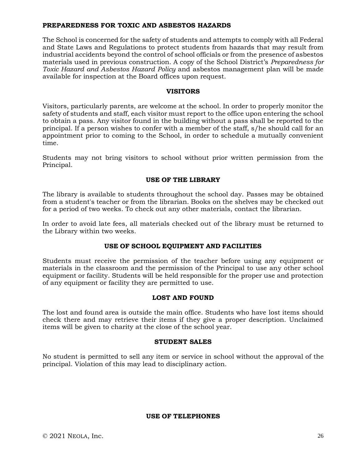### **PREPAREDNESS FOR TOXIC AND ASBESTOS HAZARDS**

The School is concerned for the safety of students and attempts to comply with all Federal and State Laws and Regulations to protect students from hazards that may result from industrial accidents beyond the control of school officials or from the presence of asbestos materials used in previous construction. A copy of the School District's *Preparedness for Toxic Hazard and Asbestos Hazard Policy* and asbestos management plan will be made available for inspection at the Board offices upon request.

### **VISITORS**

Visitors, particularly parents, are welcome at the school. In order to properly monitor the safety of students and staff, each visitor must report to the office upon entering the school to obtain a pass. Any visitor found in the building without a pass shall be reported to the principal. If a person wishes to confer with a member of the staff, s/he should call for an appointment prior to coming to the School, in order to schedule a mutually convenient time.

Students may not bring visitors to school without prior written permission from the Principal.

#### **USE OF THE LIBRARY**

The library is available to students throughout the school day. Passes may be obtained from a student's teacher or from the librarian. Books on the shelves may be checked out for a period of two weeks. To check out any other materials, contact the librarian.

In order to avoid late fees, all materials checked out of the library must be returned to the Library within two weeks.

### **USE OF SCHOOL EQUIPMENT AND FACILITIES**

Students must receive the permission of the teacher before using any equipment or materials in the classroom and the permission of the Principal to use any other school equipment or facility. Students will be held responsible for the proper use and protection of any equipment or facility they are permitted to use.

### **LOST AND FOUND**

The lost and found area is outside the main office. Students who have lost items should check there and may retrieve their items if they give a proper description. Unclaimed items will be given to charity at the close of the school year.

#### **STUDENT SALES**

No student is permitted to sell any item or service in school without the approval of the principal. Violation of this may lead to disciplinary action.

#### **USE OF TELEPHONES**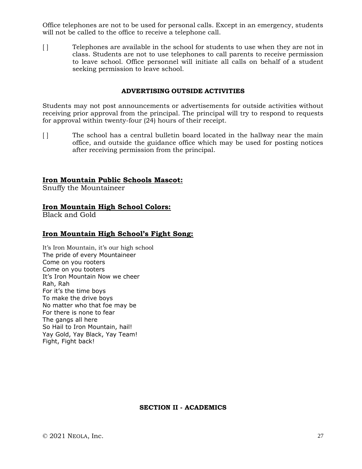Office telephones are not to be used for personal calls. Except in an emergency, students will not be called to the office to receive a telephone call.

[ ] Telephones are available in the school for students to use when they are not in class. Students are not to use telephones to call parents to receive permission to leave school. Office personnel will initiate all calls on behalf of a student seeking permission to leave school.

### **ADVERTISING OUTSIDE ACTIVITIES**

Students may not post announcements or advertisements for outside activities without receiving prior approval from the principal. The principal will try to respond to requests for approval within twenty-four (24) hours of their receipt.

[ ] The school has a central bulletin board located in the hallway near the main office, and outside the guidance office which may be used for posting notices after receiving permission from the principal.

### **Iron Mountain Public Schools Mascot:**

Snuffy the Mountaineer

### **Iron Mountain High School Colors:**

Black and Gold

### **Iron Mountain High School's Fight Song:**

It's Iron Mountain, it's our high school The pride of every Mountaineer Come on you rooters Come on you tooters It's Iron Mountain Now we cheer Rah, Rah For it's the time boys To make the drive boys No matter who that foe may be For there is none to fear The gangs all here So Hail to Iron Mountain, hail! Yay Gold, Yay Black, Yay Team! Fight, Fight back!

### **SECTION II - ACADEMICS**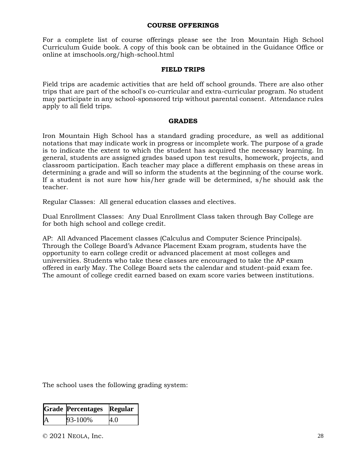#### **COURSE OFFERINGS**

For a complete list of course offerings please see the Iron Mountain High School Curriculum Guide book. A copy of this book can be obtained in the Guidance Office or online at imschools.org/high-school.html

#### **FIELD TRIPS**

Field trips are academic activities that are held off school grounds. There are also other trips that are part of the school's co-curricular and extra-curricular program. No student may participate in any school-sponsored trip without parental consent. Attendance rules apply to all field trips.

#### **GRADES**

Iron Mountain High School has a standard grading procedure, as well as additional notations that may indicate work in progress or incomplete work. The purpose of a grade is to indicate the extent to which the student has acquired the necessary learning. In general, students are assigned grades based upon test results, homework, projects, and classroom participation. Each teacher may place a different emphasis on these areas in determining a grade and will so inform the students at the beginning of the course work. If a student is not sure how his/her grade will be determined, s/he should ask the teacher.

Regular Classes: All general education classes and electives.

Dual Enrollment Classes: Any Dual Enrollment Class taken through Bay College are for both high school and college credit.

AP: All Advanced Placement classes (Calculus and Computer Science Principals). Through the College Board's Advance Placement Exam program, students have the opportunity to earn college credit or advanced placement at most colleges and universities. Students who take these classes are encouraged to take the AP exam offered in early May. The College Board sets the calendar and student-paid exam fee. The amount of college credit earned based on exam score varies between institutions.

The school uses the following grading system:

|    | <b>Grade Percentages</b> | Regular |
|----|--------------------------|---------|
| IA | 93-100%                  | 4.0     |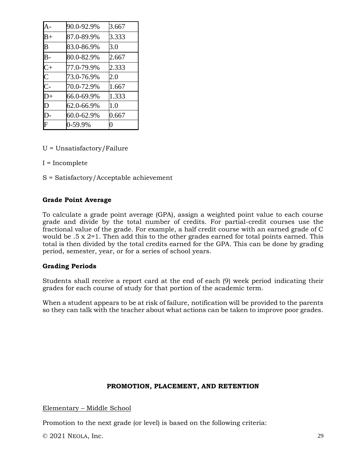|                         | 90.0-92.9% | 3.667 |
|-------------------------|------------|-------|
| $B+$                    | 87.0-89.9% | 3.333 |
| $\overline{\mathbf{B}}$ | 83.0-86.9% | 3.0   |
| $\overline{B}$ -        | 80.0-82.9% | 2.667 |
| $\overline{C}$          | 77.0-79.9% | 2.333 |
| $\overline{C}$          | 73.0-76.9% | 2.0   |
| $\overline{C}$          | 70.0-72.9% | 1.667 |
| $\overline{D}+$         | 66.0-69.9% | 1.333 |
| D                       | 62.0-66.9% | 1.0   |
| $\overline{D}$ -        | 60.0-62.9% | 0.667 |
|                         | 0-59.9%    | 0     |

U = Unsatisfactory/Failure

I = Incomplete

S = Satisfactory/Acceptable achievement

### **Grade Point Average**

To calculate a grade point average (GPA), assign a weighted point value to each course grade and divide by the total number of credits. For partial-credit courses use the fractional value of the grade. For example, a half credit course with an earned grade of C would be .5 x 2=1. Then add this to the other grades earned for total points earned. This total is then divided by the total credits earned for the GPA. This can be done by grading period, semester, year, or for a series of school years.

#### **Grading Periods**

Students shall receive a report card at the end of each (9) week period indicating their grades for each course of study for that portion of the academic term.

When a student appears to be at risk of failure, notification will be provided to the parents so they can talk with the teacher about what actions can be taken to improve poor grades.

#### **PROMOTION, PLACEMENT, AND RETENTION**

Elementary – Middle School

Promotion to the next grade (or level) is based on the following criteria: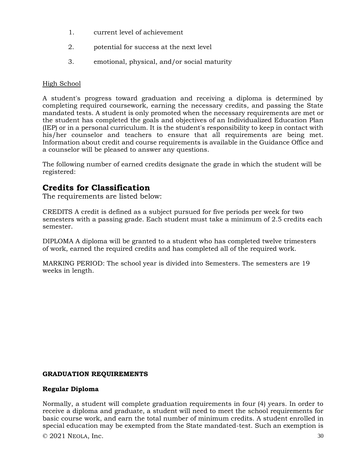- 1. current level of achievement
- 2. potential for success at the next level
- 3. emotional, physical, and/or social maturity

### High School

A student's progress toward graduation and receiving a diploma is determined by completing required coursework, earning the necessary credits, and passing the State mandated tests. A student is only promoted when the necessary requirements are met or the student has completed the goals and objectives of an Individualized Education Plan (IEP) or in a personal curriculum. It is the student's responsibility to keep in contact with his/her counselor and teachers to ensure that all requirements are being met. Information about credit and course requirements is available in the Guidance Office and a counselor will be pleased to answer any questions.

The following number of earned credits designate the grade in which the student will be registered:

## **Credits for Classification**

The requirements are listed below:

CREDITS A credit is defined as a subject pursued for five periods per week for two semesters with a passing grade. Each student must take a minimum of 2.5 credits each semester.

DIPLOMA A diploma will be granted to a student who has completed twelve trimesters of work, earned the required credits and has completed all of the required work.

MARKING PERIOD: The school year is divided into Semesters. The semesters are 19 weeks in length.

### **GRADUATION REQUIREMENTS**

### **Regular Diploma**

Normally, a student will complete graduation requirements in four (4) years. In order to receive a diploma and graduate, a student will need to meet the school requirements for basic course work, and earn the total number of minimum credits. A student enrolled in special education may be exempted from the State mandated-test. Such an exemption is

 $\odot$  2021 NEOLA, Inc. 30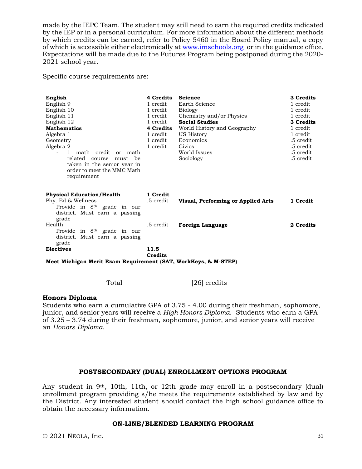made by the IEPC Team. The student may still need to earn the required credits indicated by the IEP or in a personal curriculum. For more information about the different methods by which credits can be earned, refer to Policy 5460 in the Board Policy manual, a copy of which is accessible either electronically at [www.imschools.org](http://www.imschools.org/) or in the guidance office. Expectations will be made due to the Futures Program being postponed during the 2020- 2021 school year.

Specific course requirements are:

| English<br>English 9<br>English 10<br>English 11<br>English 12<br><b>Mathematics</b><br>Algebra 1<br>Geometry<br>Algebra 2<br>math credit or math<br>$\mathbf{1}$<br>related<br>be<br>course<br>must<br>taken in the senior year in<br>order to meet the MMC Math<br>requirement | 4 Credits<br>1 credit<br>1 credit<br>1 credit<br>1 credit<br>4 Credits<br>1 credit<br>1 credit<br>1 credit | <b>Science</b><br>Earth Science<br><b>Biology</b><br>Chemistry and/or Physics<br><b>Social Studies</b><br>World History and Geography<br>US History<br>Economics<br>Civics<br>World Issues<br>Sociology | 3 Credits<br>1 credit<br>1 credit<br>1 credit<br>3 Credits<br>1 credit<br>1 credit<br>.5 credit<br>.5 credit<br>.5 credit<br>.5 credit |
|----------------------------------------------------------------------------------------------------------------------------------------------------------------------------------------------------------------------------------------------------------------------------------|------------------------------------------------------------------------------------------------------------|---------------------------------------------------------------------------------------------------------------------------------------------------------------------------------------------------------|----------------------------------------------------------------------------------------------------------------------------------------|
| <b>Physical Education/Health</b><br>Phy. Ed & Wellness<br>Provide in 8 <sup>th</sup> grade in our<br>district. Must earn a passing                                                                                                                                               | 1 Credit<br>.5 credit                                                                                      | Visual, Performing or Applied Arts                                                                                                                                                                      | 1 Credit                                                                                                                               |
| grade<br>Health<br>Provide in 8 <sup>th</sup> grade in our<br>district. Must earn a passing                                                                                                                                                                                      | .5 credit                                                                                                  | <b>Foreign Language</b>                                                                                                                                                                                 | 2 Credits                                                                                                                              |
| grade<br><b>Electives</b><br>Meet Michigan Merit Exam Requirement (SAT, WorkKeys, & M-STEP)                                                                                                                                                                                      | 11.5<br><b>Credits</b>                                                                                     |                                                                                                                                                                                                         |                                                                                                                                        |

Total [26] credits

#### **Honors Diploma**

Students who earn a cumulative GPA of 3.75 - 4.00 during their freshman, sophomore, junior, and senior years will receive a *High Honors Diploma*. Students who earn a GPA of 3.25 – 3.74 during their freshman, sophomore, junior, and senior years will receive an *Honors Diploma*.

#### **POSTSECONDARY (DUAL) ENROLLMENT OPTIONS PROGRAM**

Any student in 9th, 10th, 11th, or 12th grade may enroll in a postsecondary (dual) enrollment program providing s/he meets the requirements established by law and by the District. Any interested student should contact the high school guidance office to obtain the necessary information.

#### **ON-LINE/BLENDED LEARNING PROGRAM**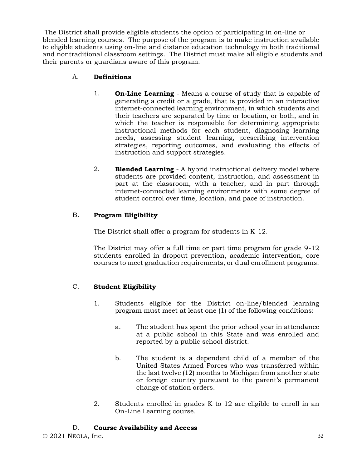The District shall provide eligible students the option of participating in on-line or blended learning courses. The purpose of the program is to make instruction available to eligible students using on-line and distance education technology in both traditional and nontraditional classroom settings. The District must make all eligible students and their parents or guardians aware of this program.

## A. **Definitions**

- 1. **On-Line Learning** Means a course of study that is capable of generating a credit or a grade, that is provided in an interactive internet-connected learning environment, in which students and their teachers are separated by time or location, or both, and in which the teacher is responsible for determining appropriate instructional methods for each student, diagnosing learning needs, assessing student learning, prescribing intervention strategies, reporting outcomes, and evaluating the effects of instruction and support strategies.
- 2. **Blended Learning** A hybrid instructional delivery model where students are provided content, instruction, and assessment in part at the classroom, with a teacher, and in part through internet-connected learning environments with some degree of student control over time, location, and pace of instruction.

## B. **Program Eligibility**

The District shall offer a program for students in K-12.

The District may offer a full time or part time program for grade 9-12 students enrolled in dropout prevention, academic intervention, core courses to meet graduation requirements, or dual enrollment programs.

### C. **Student Eligibility**

- 1. Students eligible for the District on-line/blended learning program must meet at least one (1) of the following conditions:
	- a. The student has spent the prior school year in attendance at a public school in this State and was enrolled and reported by a public school district.
	- b. The student is a dependent child of a member of the United States Armed Forces who was transferred within the last twelve (12) months to Michigan from another state or foreign country pursuant to the parent's permanent change of station orders.
- 2. Students enrolled in grades K to 12 are eligible to enroll in an On-Line Learning course.

### D. **Course Availability and Access**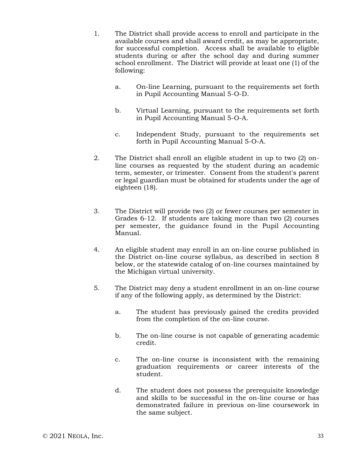- 1. The District shall provide access to enroll and participate in the available courses and shall award credit, as may be appropriate, for successful completion. Access shall be available to eligible students during or after the school day and during summer school enrollment. The District will provide at least one (1) of the following:
	- a. On-line Learning, pursuant to the requirements set forth in Pupil Accounting Manual 5-O-D.
	- b. Virtual Learning, pursuant to the requirements set forth in Pupil Accounting Manual 5-O-A.
	- c. Independent Study, pursuant to the requirements set forth in Pupil Accounting Manual 5-O-A.
- 2. The District shall enroll an eligible student in up to two (2) online courses as requested by the student during an academic term, semester, or trimester. Consent from the student's parent or legal guardian must be obtained for students under the age of eighteen (18).
- 3. The District will provide two (2) or fewer courses per semester in Grades 6-12. If students are taking more than two (2) courses per semester, the guidance found in the Pupil Accounting Manual.
- 4. An eligible student may enroll in an on-line course published in the District on-line course syllabus, as described in section 8 below, or the statewide catalog of on-line courses maintained by the Michigan virtual university.
- 5. The District may deny a student enrollment in an on-line course if any of the following apply, as determined by the District:
	- a. The student has previously gained the credits provided from the completion of the on-line course.
	- b. The on-line course is not capable of generating academic credit.
	- c. The on-line course is inconsistent with the remaining graduation requirements or career interests of the student.
	- d. The student does not possess the prerequisite knowledge and skills to be successful in the on-line course or has demonstrated failure in previous on-line coursework in the same subject.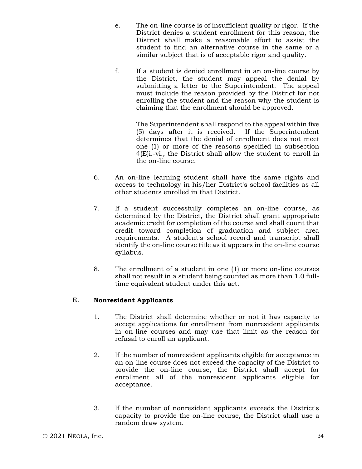- e. The on-line course is of insufficient quality or rigor. If the District denies a student enrollment for this reason, the District shall make a reasonable effort to assist the student to find an alternative course in the same or a similar subject that is of acceptable rigor and quality.
- f. If a student is denied enrollment in an on-line course by the District, the student may appeal the denial by submitting a letter to the Superintendent. The appeal must include the reason provided by the District for not enrolling the student and the reason why the student is claiming that the enrollment should be approved.

The Superintendent shall respond to the appeal within five (5) days after it is received. If the Superintendent determines that the denial of enrollment does not meet one (1) or more of the reasons specified in subsection 4(E)i.-vi., the District shall allow the student to enroll in the on-line course.

- 6. An on-line learning student shall have the same rights and access to technology in his/her District's school facilities as all other students enrolled in that District.
- 7. If a student successfully completes an on-line course, as determined by the District, the District shall grant appropriate academic credit for completion of the course and shall count that credit toward completion of graduation and subject area requirements. A student's school record and transcript shall identify the on-line course title as it appears in the on-line course syllabus.
- 8. The enrollment of a student in one (1) or more on-line courses shall not result in a student being counted as more than 1.0 fulltime equivalent student under this act.

### E. **Nonresident Applicants**

- 1. The District shall determine whether or not it has capacity to accept applications for enrollment from nonresident applicants in on-line courses and may use that limit as the reason for refusal to enroll an applicant.
- 2. If the number of nonresident applicants eligible for acceptance in an on-line course does not exceed the capacity of the District to provide the on-line course, the District shall accept for enrollment all of the nonresident applicants eligible for acceptance.
- 3. If the number of nonresident applicants exceeds the District's capacity to provide the on-line course, the District shall use a random draw system.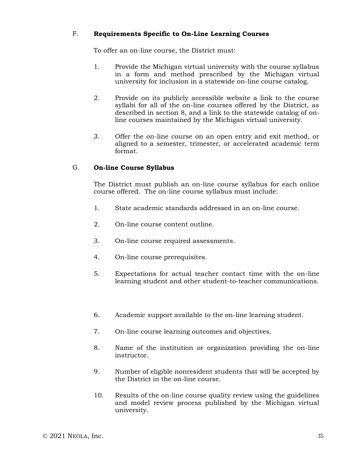### F. **Requirements Specific to On-Line Learning Courses**

To offer an on-line course, the District must:

- 1. Provide the Michigan virtual university with the course syllabus in a form and method prescribed by the Michigan virtual university for inclusion in a statewide on-line course catalog.
- 2. Provide on its publicly accessible website a link to the course syllabi for all of the on-line courses offered by the District, as described in section 8, and a link to the statewide catalog of online courses maintained by the Michigan virtual university.
- 3. Offer the on-line course on an open entry and exit method, or aligned to a semester, trimester, or accelerated academic term format.

### G. **On-line Course Syllabus**

The District must publish an on-line course syllabus for each online course offered. The on-line course syllabus must include:

- 1. State academic standards addressed in an on-line course.
- 2. On-line course content outline.
- 3. On-line course required assessments.
- 4. On-line course prerequisites.
- 5. Expectations for actual teacher contact time with the on-line learning student and other student-to-teacher communications.
- 6. Academic support available to the on-line learning student.
- 7. On-line course learning outcomes and objectives.
- 8. Name of the institution or organization providing the on-line instructor.
- 9. Number of eligible nonresident students that will be accepted by the District in the on-line course.
- 10. Results of the on-line course quality review using the guidelines and model review process published by the Michigan virtual university.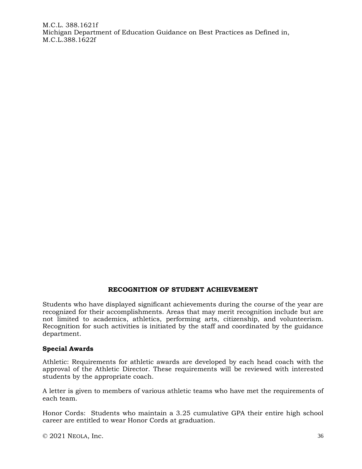M.C.L. 388.1621f Michigan Department of Education Guidance on Best Practices as Defined in, M.C.L.388.1622f

### **RECOGNITION OF STUDENT ACHIEVEMENT**

Students who have displayed significant achievements during the course of the year are recognized for their accomplishments. Areas that may merit recognition include but are not limited to academics, athletics, performing arts, citizenship, and volunteerism. Recognition for such activities is initiated by the staff and coordinated by the guidance department.

#### **Special Awards**

Athletic: Requirements for athletic awards are developed by each head coach with the approval of the Athletic Director. These requirements will be reviewed with interested students by the appropriate coach.

A letter is given to members of various athletic teams who have met the requirements of each team.

Honor Cords: Students who maintain a 3.25 cumulative GPA their entire high school career are entitled to wear Honor Cords at graduation.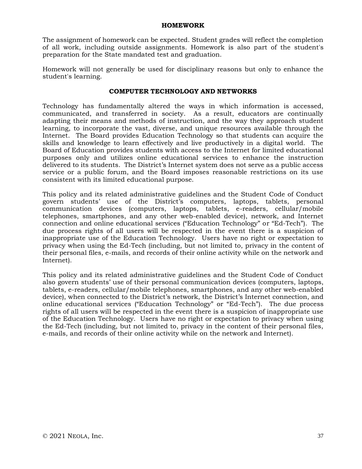#### **HOMEWORK**

The assignment of homework can be expected. Student grades will reflect the completion of all work, including outside assignments. Homework is also part of the student's preparation for the State mandated test and graduation.

Homework will not generally be used for disciplinary reasons but only to enhance the student's learning.

#### **COMPUTER TECHNOLOGY AND NETWORKS**

Technology has fundamentally altered the ways in which information is accessed, communicated, and transferred in society. As a result, educators are continually adapting their means and methods of instruction, and the way they approach student learning, to incorporate the vast, diverse, and unique resources available through the Internet. The Board provides Education Technology so that students can acquire the skills and knowledge to learn effectively and live productively in a digital world. The Board of Education provides students with access to the Internet for limited educational purposes only and utilizes online educational services to enhance the instruction delivered to its students. The District's Internet system does not serve as a public access service or a public forum, and the Board imposes reasonable restrictions on its use consistent with its limited educational purpose.

This policy and its related administrative guidelines and the Student Code of Conduct govern students' use of the District's computers, laptops, tablets, personal communication devices (computers, laptops, tablets, e-readers, cellular/mobile telephones, smartphones, and any other web-enabled device), network, and Internet connection and online educational services ("Education Technology" or "Ed-Tech"). The due process rights of all users will be respected in the event there is a suspicion of inappropriate use of the Education Technology. Users have no right or expectation to privacy when using the Ed-Tech (including, but not limited to, privacy in the content of their personal files, e-mails, and records of their online activity while on the network and Internet).

This policy and its related administrative guidelines and the Student Code of Conduct also govern students' use of their personal communication devices (computers, laptops, tablets, e-readers, cellular/mobile telephones, smartphones, and any other web-enabled device), when connected to the District's network, the District's Internet connection, and online educational services ("Education Technology" or "Ed-Tech"). The due process rights of all users will be respected in the event there is a suspicion of inappropriate use of the Education Technology. Users have no right or expectation to privacy when using the Ed-Tech (including, but not limited to, privacy in the content of their personal files, e-mails, and records of their online activity while on the network and Internet).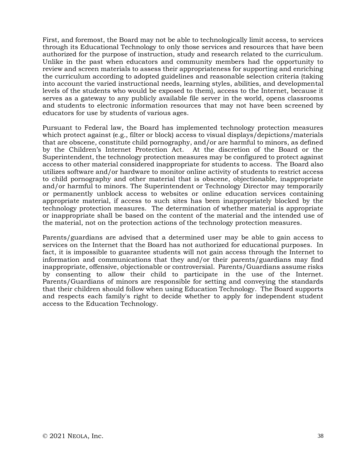First, and foremost, the Board may not be able to technologically limit access, to services through its Educational Technology to only those services and resources that have been authorized for the purpose of instruction, study and research related to the curriculum. Unlike in the past when educators and community members had the opportunity to review and screen materials to assess their appropriateness for supporting and enriching the curriculum according to adopted guidelines and reasonable selection criteria (taking into account the varied instructional needs, learning styles, abilities, and developmental levels of the students who would be exposed to them), access to the Internet, because it serves as a gateway to any publicly available file server in the world, opens classrooms and students to electronic information resources that may not have been screened by educators for use by students of various ages.

Pursuant to Federal law, the Board has implemented technology protection measures which protect against (e.g., filter or block) access to visual displays/depictions/materials that are obscene, constitute child pornography, and/or are harmful to minors, as defined by the Children's Internet Protection Act. At the discretion of the Board or the Superintendent, the technology protection measures may be configured to protect against access to other material considered inappropriate for students to access. The Board also utilizes software and/or hardware to monitor online activity of students to restrict access to child pornography and other material that is obscene, objectionable, inappropriate and/or harmful to minors. The Superintendent or Technology Director may temporarily or permanently unblock access to websites or online education services containing appropriate material, if access to such sites has been inappropriately blocked by the technology protection measures. The determination of whether material is appropriate or inappropriate shall be based on the content of the material and the intended use of the material, not on the protection actions of the technology protection measures.

Parents/guardians are advised that a determined user may be able to gain access to services on the Internet that the Board has not authorized for educational purposes. In fact, it is impossible to guarantee students will not gain access through the Internet to information and communications that they and/or their parents/guardians may find inappropriate, offensive, objectionable or controversial. Parents/Guardians assume risks by consenting to allow their child to participate in the use of the Internet. Parents/Guardians of minors are responsible for setting and conveying the standards that their children should follow when using Education Technology. The Board supports and respects each family's right to decide whether to apply for independent student access to the Education Technology.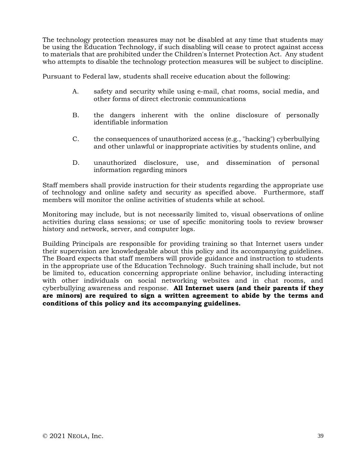The technology protection measures may not be disabled at any time that students may be using the Education Technology, if such disabling will cease to protect against access to materials that are prohibited under the Children's Internet Protection Act. Any student who attempts to disable the technology protection measures will be subject to discipline.

Pursuant to Federal law, students shall receive education about the following:

- A. safety and security while using e-mail, chat rooms, social media, and other forms of direct electronic communications
- B. the dangers inherent with the online disclosure of personally identifiable information
- C. the consequences of unauthorized access (e.g., "hacking") cyberbullying and other unlawful or inappropriate activities by students online, and
- D. unauthorized disclosure, use, and dissemination of personal information regarding minors

Staff members shall provide instruction for their students regarding the appropriate use of technology and online safety and security as specified above. Furthermore, staff members will monitor the online activities of students while at school.

Monitoring may include, but is not necessarily limited to, visual observations of online activities during class sessions; or use of specific monitoring tools to review browser history and network, server, and computer logs.

Building Principals are responsible for providing training so that Internet users under their supervision are knowledgeable about this policy and its accompanying guidelines. The Board expects that staff members will provide guidance and instruction to students in the appropriate use of the Education Technology. Such training shall include, but not be limited to, education concerning appropriate online behavior, including interacting with other individuals on social networking websites and in chat rooms, and cyberbullying awareness and response. **All Internet users (and their parents if they are minors) are required to sign a written agreement to abide by the terms and conditions of this policy and its accompanying guidelines.**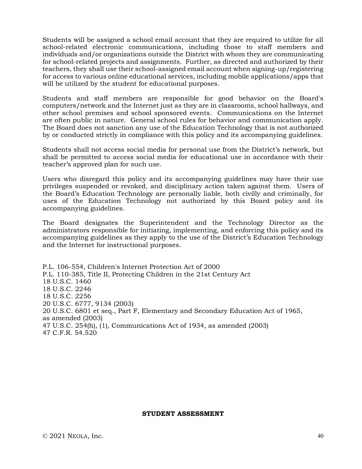Students will be assigned a school email account that they are required to utilize for all school-related electronic communications, including those to staff members and individuals and/or organizations outside the District with whom they are communicating for school-related projects and assignments. Further, as directed and authorized by their teachers, they shall use their school-assigned email account when signing-up/registering for access to various online educational services, including mobile applications/apps that will be utilized by the student for educational purposes.

Students and staff members are responsible for good behavior on the Board's computers/network and the Internet just as they are in classrooms, school hallways, and other school premises and school sponsored events. Communications on the Internet are often public in nature. General school rules for behavior and communication apply. The Board does not sanction any use of the Education Technology that is not authorized by or conducted strictly in compliance with this policy and its accompanying guidelines.

Students shall not access social media for personal use from the District's network, but shall be permitted to access social media for educational use in accordance with their teacher's approved plan for such use.

Users who disregard this policy and its accompanying guidelines may have their use privileges suspended or revoked, and disciplinary action taken against them. Users of the Board's Education Technology are personally liable, both civilly and criminally, for uses of the Education Technology not authorized by this Board policy and its accompanying guidelines.

The Board designates the Superintendent and the Technology Director as the administrators responsible for initiating, implementing, and enforcing this policy and its accompanying guidelines as they apply to the use of the District's Education Technology and the Internet for instructional purposes.

P.L. 106-554, Children's Internet Protection Act of 2000 P.L. 110-385, Title II, Protecting Children in the 21st Century Act 18 U.S.C. 1460 18 U.S.C. 2246 18 U.S.C. 2256 20 U.S.C. 6777, 9134 (2003) 20 U.S.C. 6801 et seq., Part F, Elementary and Secondary Education Act of 1965, as amended (2003) 47 U.S.C. 254(h), (1), Communications Act of 1934, as amended (2003) 47 C.F.R. 54.520

#### **STUDENT ASSESSMENT**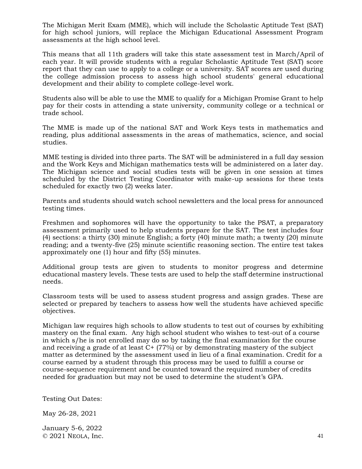The Michigan Merit Exam (MME), which will include the Scholastic Aptitude Test (SAT) for high school juniors, will replace the Michigan Educational Assessment Program assessments at the high school level.

This means that all 11th graders will take this state assessment test in March/April of each year. It will provide students with a regular Scholastic Aptitude Test (SAT) score report that they can use to apply to a college or a university. SAT scores are used during the college admission process to assess high school students' general educational development and their ability to complete college-level work.

Students also will be able to use the MME to qualify for a Michigan Promise Grant to help pay for their costs in attending a state university, community college or a technical or trade school.

The MME is made up of the national SAT and Work Keys tests in mathematics and reading, plus additional assessments in the areas of mathematics, science, and social studies.

MME testing is divided into three parts. The SAT will be administered in a full day session and the Work Keys and Michigan mathematics tests will be administered on a later day. The Michigan science and social studies tests will be given in one session at times scheduled by the District Testing Coordinator with make-up sessions for these tests scheduled for exactly two (2) weeks later.

Parents and students should watch school newsletters and the local press for announced testing times.

Freshmen and sophomores will have the opportunity to take the PSAT, a preparatory assessment primarily used to help students prepare for the SAT. The test includes four (4) sections: a thirty (30) minute English; a forty (40) minute math; a twenty (20) minute reading; and a twenty-five (25) minute scientific reasoning section. The entire test takes approximately one (1) hour and fifty (55) minutes.

Additional group tests are given to students to monitor progress and determine educational mastery levels. These tests are used to help the staff determine instructional needs.

Classroom tests will be used to assess student progress and assign grades. These are selected or prepared by teachers to assess how well the students have achieved specific objectives.

Michigan law requires high schools to allow students to test out of courses by exhibiting mastery on the final exam. Any high school student who wishes to test-out of a course in which s/he is not enrolled may do so by taking the final examination for the course and receiving a grade of at least C+ (77%) or by demonstrating mastery of the subject matter as determined by the assessment used in lieu of a final examination. Credit for a course earned by a student through this process may be used to fulfill a course or course-sequence requirement and be counted toward the required number of credits needed for graduation but may not be used to determine the student's GPA.

Testing Out Dates:

May 26-28, 2021

 $\degree$  2021 NEOLA, Inc. 41 January 5-6, 2022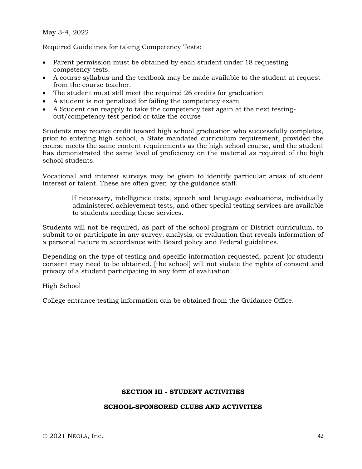May 3-4, 2022

Required Guidelines for taking Competency Tests:

- Parent permission must be obtained by each student under 18 requesting competency tests.
- A course syllabus and the textbook may be made available to the student at request from the course teacher.
- The student must still meet the required 26 credits for graduation
- A student is not penalized for failing the competency exam
- A Student can reapply to take the competency test again at the next testingout/competency test period or take the course

Students may receive credit toward high school graduation who successfully completes, prior to entering high school, a State mandated curriculum requirement, provided the course meets the same content requirements as the high school course, and the student has demonstrated the same level of proficiency on the material as required of the high school students.

Vocational and interest surveys may be given to identify particular areas of student interest or talent. These are often given by the guidance staff.

> If necessary, intelligence tests, speech and language evaluations, individually administered achievement tests, and other special testing services are available to students needing these services.

Students will not be required, as part of the school program or District curriculum, to submit to or participate in any survey, analysis, or evaluation that reveals information of a personal nature in accordance with Board policy and Federal guidelines.

Depending on the type of testing and specific information requested, parent (or student) consent may need to be obtained. [the school] will not violate the rights of consent and privacy of a student participating in any form of evaluation.

#### High School

College entrance testing information can be obtained from the Guidance Office.

#### **SECTION III - STUDENT ACTIVITIES**

#### **SCHOOL-SPONSORED CLUBS AND ACTIVITIES**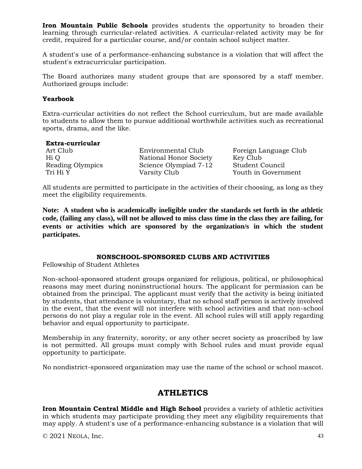**Iron Mountain Public Schools** provides students the opportunity to broaden their learning through curricular-related activities. A curricular-related activity may be for credit, required for a particular course, and/or contain school subject matter.

A student's use of a performance-enhancing substance is a violation that will affect the student's extracurricular participation.

The Board authorizes many student groups that are sponsored by a staff member. Authorized groups include:

#### **Yearbook**

Extra-curricular activities do not reflect the School curriculum, but are made available to students to allow them to pursue additional worthwhile activities such as recreational sports, drama, and the like.

#### **Extra-curricular**

Art Club **Environmental Club** Foreign Language Club Hi Q National Honor Society Key Club Reading Olympics Science Olympiad 7-12 Student Council Tri Hi Y Varsity Club Youth in Government

All students are permitted to participate in the activities of their choosing, as long as they meet the eligibility requirements.

**Note: A student who is academically ineligible under the standards set forth in the athletic code, (failing any class), will not be allowed to miss class time in the class they are failing, for events or activities which are sponsored by the organization/s in which the student participates.**

## **NONSCHOOL-SPONSORED CLUBS AND ACTIVITIES**

Fellowship of Student Athletes

Non-school-sponsored student groups organized for religious, political, or philosophical reasons may meet during noninstructional hours. The applicant for permission can be obtained from the principal. The applicant must verify that the activity is being initiated by students, that attendance is voluntary, that no school staff person is actively involved in the event, that the event will not interfere with school activities and that non-school persons do not play a regular role in the event. All school rules will still apply regarding behavior and equal opportunity to participate.

Membership in any fraternity, sorority, or any other secret society as proscribed by law is not permitted. All groups must comply with School rules and must provide equal opportunity to participate.

No nondistrict-sponsored organization may use the name of the school or school mascot.

# **ATHLETICS**

**Iron Mountain Central Middle and High School** provides a variety of athletic activities in which students may participate providing they meet any eligibility requirements that may apply. A student's use of a performance-enhancing substance is a violation that will

© 2021 NEOLA, Inc. 43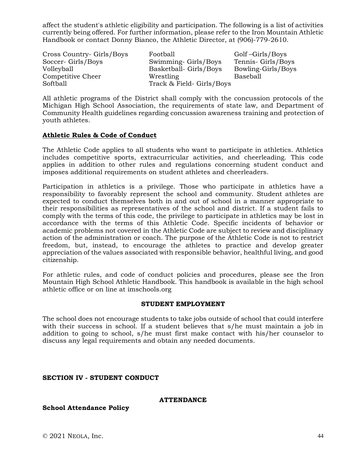affect the student's athletic eligibility and participation. The following is a list of activities currently being offered. For further information, please refer to the Iron Mountain Athletic Handbook or contact Donny Bianco, the Athletic Director, at (906)-779-2610.

Cross Country- Girls/Boys Football Golf –Girls/Boys Soccer- Girls/Boys Swimming- Girls/Boys Tennis- Girls/Boys Volleyball Basketball- Girls/Boys Bowling-Girls/Boys Competitive Cheer Wrestling Baseball Softball Track & Field- Girls/Boys

All athletic programs of the District shall comply with the concussion protocols of the Michigan High School Association, the requirements of state law, and Department of Community Health guidelines regarding concussion awareness training and protection of youth athletes.

## **Athletic Rules & Code of Conduct**

The Athletic Code applies to all students who want to participate in athletics. Athletics includes competitive sports, extracurricular activities, and cheerleading. This code applies in addition to other rules and regulations concerning student conduct and imposes additional requirements on student athletes and cheerleaders.

Participation in athletics is a privilege. Those who participate in athletics have a responsibility to favorably represent the school and community. Student athletes are expected to conduct themselves both in and out of school in a manner appropriate to their responsibilities as representatives of the school and district. If a student fails to comply with the terms of this code, the privilege to participate in athletics may be lost in accordance with the terms of this Athletic Code. Specific incidents of behavior or academic problems not covered in the Athletic Code are subject to review and disciplinary action of the administration or coach. The purpose of the Athletic Code is not to restrict freedom, but, instead, to encourage the athletes to practice and develop greater appreciation of the values associated with responsible behavior, healthful living, and good citizenship.

For athletic rules, and code of conduct policies and procedures, please see the Iron Mountain High School Athletic Handbook. This handbook is available in the high school athletic office or on line at imschools.org

#### **STUDENT EMPLOYMENT**

The school does not encourage students to take jobs outside of school that could interfere with their success in school. If a student believes that s/he must maintain a job in addition to going to school, s/he must first make contact with his/her counselor to discuss any legal requirements and obtain any needed documents.

## **SECTION IV - STUDENT CONDUCT**

#### **ATTENDANCE**

**School Attendance Policy**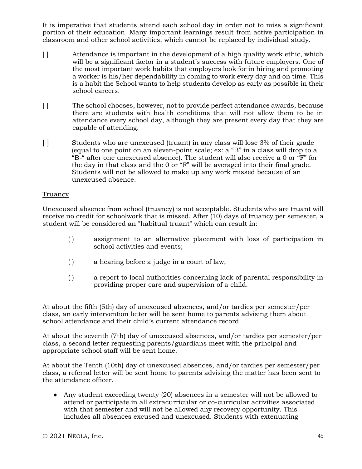It is imperative that students attend each school day in order not to miss a significant portion of their education. Many important learnings result from active participation in classroom and other school activities, which cannot be replaced by individual study.

- [ ] Attendance is important in the development of a high quality work ethic, which will be a significant factor in a student's success with future employers. One of the most important work habits that employers look for in hiring and promoting a worker is his/her dependability in coming to work every day and on time. This is a habit the School wants to help students develop as early as possible in their school careers.
- [ ] The school chooses, however, not to provide perfect attendance awards, because there are students with health conditions that will not allow them to be in attendance every school day, although they are present every day that they are capable of attending.
- [ ] Students who are unexcused (truant) in any class will lose 3% of their grade (equal to one point on an eleven-point scale; ex: a "B" in a class will drop to a  $E^2$ " after one unexcused absence). The student will also receive a 0 or "F" for the day in that class and the 0 or "F" will be averaged into their final grade. Students will not be allowed to make up any work missed because of an unexcused absence.

### Truancy

Unexcused absence from school (truancy) is not acceptable. Students who are truant will receive no credit for schoolwork that is missed. After (10) days of truancy per semester, a student will be considered an "habitual truant" which can result in:

- ( ) assignment to an alternative placement with loss of participation in school activities and events;
- ( ) a hearing before a judge in a court of law;
- ( ) a report to local authorities concerning lack of parental responsibility in providing proper care and supervision of a child.

At about the fifth (5th) day of unexcused absences, and/or tardies per semester/per class, an early intervention letter will be sent home to parents advising them about school attendance and their child's current attendance record.

At about the seventh (7th) day of unexcused absences, and/or tardies per semester/per class, a second letter requesting parents/guardians meet with the principal and appropriate school staff will be sent home.

At about the Tenth (10th) day of unexcused absences, and/or tardies per semester/per class, a referral letter will be sent home to parents advising the matter has been sent to the attendance officer.

• Any student exceeding twenty (20) absences in a semester will not be allowed to attend or participate in all extracurricular or co-curricular activities associated with that semester and will not be allowed any recovery opportunity. This includes all absences excused and unexcused. Students with extenuating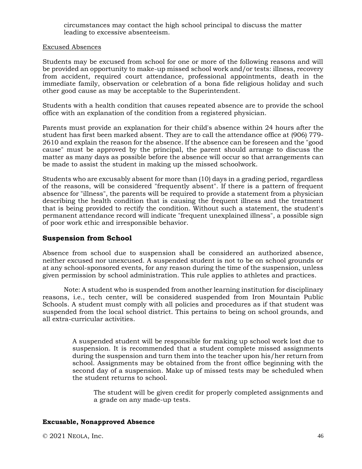circumstances may contact the high school principal to discuss the matter leading to excessive absenteeism.

#### Excused Absences

Students may be excused from school for one or more of the following reasons and will be provided an opportunity to make-up missed school work and/or tests: illness, recovery from accident, required court attendance, professional appointments, death in the immediate family, observation or celebration of a bona fide religious holiday and such other good cause as may be acceptable to the Superintendent.

Students with a health condition that causes repeated absence are to provide the school office with an explanation of the condition from a registered physician.

Parents must provide an explanation for their child's absence within 24 hours after the student has first been marked absent. They are to call the attendance office at (906) 779- 2610 and explain the reason for the absence. If the absence can be foreseen and the "good cause" must be approved by the principal, the parent should arrange to discuss the matter as many days as possible before the absence will occur so that arrangements can be made to assist the student in making up the missed schoolwork.

Students who are excusably absent for more than (10) days in a grading period, regardless of the reasons, will be considered "frequently absent". If there is a pattern of frequent absence for "illness", the parents will be required to provide a statement from a physician describing the health condition that is causing the frequent illness and the treatment that is being provided to rectify the condition. Without such a statement, the student's permanent attendance record will indicate "frequent unexplained illness", a possible sign of poor work ethic and irresponsible behavior.

## **Suspension from School**

Absence from school due to suspension shall be considered an authorized absence, neither excused nor unexcused. A suspended student is not to be on school grounds or at any school-sponsored events, for any reason during the time of the suspension, unless given permission by school administration. This rule applies to athletes and practices.

Note: A student who is suspended from another learning institution for disciplinary reasons, i.e., tech center, will be considered suspended from Iron Mountain Public Schools. A student must comply with all policies and procedures as if that student was suspended from the local school district. This pertains to being on school grounds, and all extra-curricular activities.

> A suspended student will be responsible for making up school work lost due to suspension. It is recommended that a student complete missed assignments during the suspension and turn them into the teacher upon his/her return from school. Assignments may be obtained from the front office beginning with the second day of a suspension. Make up of missed tests may be scheduled when the student returns to school.

The student will be given credit for properly completed assignments and a grade on any made-up tests.

## **Excusable, Nonapproved Absence**

 $\degree$  2021 NEOLA, Inc. 46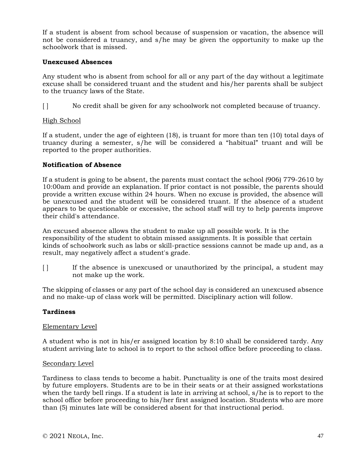If a student is absent from school because of suspension or vacation, the absence will not be considered a truancy, and s/he may be given the opportunity to make up the schoolwork that is missed.

#### **Unexcused Absences**

Any student who is absent from school for all or any part of the day without a legitimate excuse shall be considered truant and the student and his/her parents shall be subject to the truancy laws of the State.

[ ] No credit shall be given for any schoolwork not completed because of truancy.

### High School

If a student, under the age of eighteen (18), is truant for more than ten (10) total days of truancy during a semester, s/he will be considered a "habitual" truant and will be reported to the proper authorities.

### **Notification of Absence**

If a student is going to be absent, the parents must contact the school (906) 779-2610 by 10:00am and provide an explanation. If prior contact is not possible, the parents should provide a written excuse within 24 hours. When no excuse is provided, the absence will be unexcused and the student will be considered truant. If the absence of a student appears to be questionable or excessive, the school staff will try to help parents improve their child's attendance.

An excused absence allows the student to make up all possible work. It is the responsibility of the student to obtain missed assignments. It is possible that certain kinds of schoolwork such as labs or skill-practice sessions cannot be made up and, as a result, may negatively affect a student's grade.

[ ] If the absence is unexcused or unauthorized by the principal, a student may not make up the work.

The skipping of classes or any part of the school day is considered an unexcused absence and no make-up of class work will be permitted. Disciplinary action will follow.

#### **Tardiness**

#### Elementary Level

A student who is not in his/er assigned location by 8:10 shall be considered tardy. Any student arriving late to school is to report to the school office before proceeding to class.

#### Secondary Level

Tardiness to class tends to become a habit. Punctuality is one of the traits most desired by future employers. Students are to be in their seats or at their assigned workstations when the tardy bell rings. If a student is late in arriving at school, s/he is to report to the school office before proceeding to his/her first assigned location. Students who are more than (5) minutes late will be considered absent for that instructional period.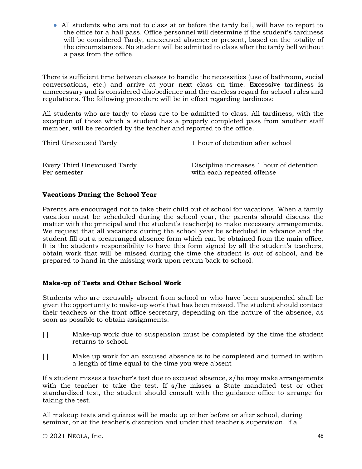● All students who are not to class at or before the tardy bell, will have to report to the office for a hall pass. Office personnel will determine if the student's tardiness will be considered Tardy, unexcused absence or present, based on the totality of the circumstances. No student will be admitted to class after the tardy bell without a pass from the office.

There is sufficient time between classes to handle the necessities (use of bathroom, social conversations, etc.) and arrive at your next class on time. Excessive tardiness is unnecessary and is considered disobedience and the careless regard for school rules and regulations. The following procedure will be in effect regarding tardiness:

All students who are tardy to class are to be admitted to class. All tardiness, with the exception of those which a student has a properly completed pass from another staff member, will be recorded by the teacher and reported to the office.

| Third Unexcused Tardy       | 1 hour of detention after school         |
|-----------------------------|------------------------------------------|
| Every Third Unexcused Tardy | Discipline increases 1 hour of detention |
| Per semester                | with each repeated offense               |

## **Vacations During the School Year**

Parents are encouraged not to take their child out of school for vacations. When a family vacation must be scheduled during the school year, the parents should discuss the matter with the principal and the student's teacher(s) to make necessary arrangements. We request that all vacations during the school year be scheduled in advance and the student fill out a prearranged absence form which can be obtained from the main office. It is the students responsibility to have this form signed by all the student's teachers, obtain work that will be missed during the time the student is out of school, and be prepared to hand in the missing work upon return back to school.

## **Make-up of Tests and Other School Work**

Students who are excusably absent from school or who have been suspended shall be given the opportunity to make-up work that has been missed. The student should contact their teachers or the front office secretary, depending on the nature of the absence, as soon as possible to obtain assignments.

- [ ] Make-up work due to suspension must be completed by the time the student returns to school.
- [ ] Make up work for an excused absence is to be completed and turned in within a length of time equal to the time you were absent

If a student misses a teacher's test due to excused absence, s/he may make arrangements with the teacher to take the test. If s/he misses a State mandated test or other standardized test, the student should consult with the guidance office to arrange for taking the test.

All makeup tests and quizzes will be made up either before or after school, during seminar, or at the teacher's discretion and under that teacher's supervision. If a

 $\degree$  2021 NEOLA, Inc. 48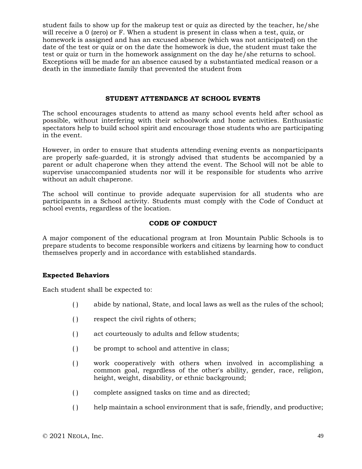student fails to show up for the makeup test or quiz as directed by the teacher, he/she will receive a 0 (zero) or F. When a student is present in class when a test, quiz, or homework is assigned and has an excused absence (which was not anticipated) on the date of the test or quiz or on the date the homework is due, the student must take the test or quiz or turn in the homework assignment on the day he/she returns to school. Exceptions will be made for an absence caused by a substantiated medical reason or a death in the immediate family that prevented the student from

#### **STUDENT ATTENDANCE AT SCHOOL EVENTS**

The school encourages students to attend as many school events held after school as possible, without interfering with their schoolwork and home activities. Enthusiastic spectators help to build school spirit and encourage those students who are participating in the event.

However, in order to ensure that students attending evening events as nonparticipants are properly safe-guarded, it is strongly advised that students be accompanied by a parent or adult chaperone when they attend the event. The School will not be able to supervise unaccompanied students nor will it be responsible for students who arrive without an adult chaperone.

The school will continue to provide adequate supervision for all students who are participants in a School activity. Students must comply with the Code of Conduct at school events, regardless of the location.

### **CODE OF CONDUCT**

A major component of the educational program at Iron Mountain Public Schools is to prepare students to become responsible workers and citizens by learning how to conduct themselves properly and in accordance with established standards.

#### **Expected Behaviors**

Each student shall be expected to:

- ( ) abide by national, State, and local laws as well as the rules of the school;
- ( ) respect the civil rights of others;
- ( ) act courteously to adults and fellow students;
- ( ) be prompt to school and attentive in class;
- ( ) work cooperatively with others when involved in accomplishing a common goal, regardless of the other's ability, gender, race, religion, height, weight, disability, or ethnic background;
- ( ) complete assigned tasks on time and as directed;
- ( ) help maintain a school environment that is safe, friendly, and productive;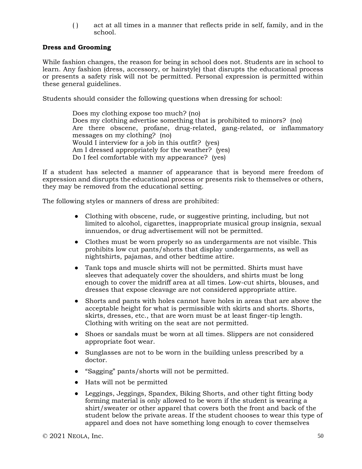( ) act at all times in a manner that reflects pride in self, family, and in the school.

## **Dress and Grooming**

While fashion changes, the reason for being in school does not. Students are in school to learn. Any fashion (dress, accessory, or hairstyle) that disrupts the educational process or presents a safety risk will not be permitted. Personal expression is permitted within these general guidelines.

Students should consider the following questions when dressing for school:

Does my clothing expose too much? (no) Does my clothing advertise something that is prohibited to minors? (no) Are there obscene, profane, drug-related, gang-related, or inflammatory messages on my clothing? (no) Would I interview for a job in this outfit? (yes) Am I dressed appropriately for the weather? (yes) Do I feel comfortable with my appearance? (yes)

If a student has selected a manner of appearance that is beyond mere freedom of expression and disrupts the educational process or presents risk to themselves or others, they may be removed from the educational setting.

The following styles or manners of dress are prohibited:

- Clothing with obscene, rude, or suggestive printing, including, but not limited to alcohol, cigarettes, inappropriate musical group insignia, sexual innuendos, or drug advertisement will not be permitted.
- Clothes must be worn properly so as undergarments are not visible. This prohibits low cut pants/shorts that display undergarments, as well as nightshirts, pajamas, and other bedtime attire.
- Tank tops and muscle shirts will not be permitted. Shirts must have sleeves that adequately cover the shoulders, and shirts must be long enough to cover the midriff area at all times. Low-cut shirts, blouses, and dresses that expose cleavage are not considered appropriate attire.
- Shorts and pants with holes cannot have holes in areas that are above the acceptable height for what is permissible with skirts and shorts. Shorts, skirts, dresses, etc., that are worn must be at least finger-tip length. Clothing with writing on the seat are not permitted.
- Shoes or sandals must be worn at all times. Slippers are not considered appropriate foot wear.
- Sunglasses are not to be worn in the building unless prescribed by a doctor.
- "Sagging" pants/shorts will not be permitted.
- Hats will not be permitted
- Leggings, Jeggings, Spandex, Biking Shorts, and other tight fitting body forming material is only allowed to be worn if the student is wearing a shirt/sweater or other apparel that covers both the front and back of the student below the private areas. If the student chooses to wear this type of apparel and does not have something long enough to cover themselves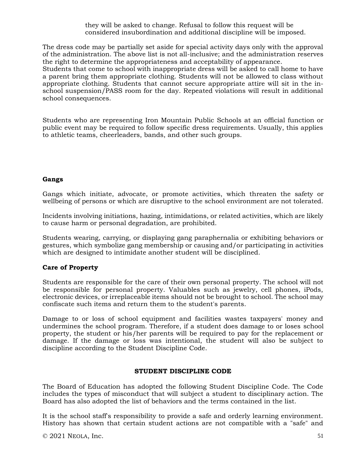they will be asked to change. Refusal to follow this request will be considered insubordination and additional discipline will be imposed.

The dress code may be partially set aside for special activity days only with the approval of the administration. The above list is not all-inclusive; and the administration reserves the right to determine the appropriateness and acceptability of appearance.

Students that come to school with inappropriate dress will be asked to call home to have a parent bring them appropriate clothing. Students will not be allowed to class without appropriate clothing. Students that cannot secure appropriate attire will sit in the inschool suspension/PASS room for the day. Repeated violations will result in additional school consequences.

Students who are representing Iron Mountain Public Schools at an official function or public event may be required to follow specific dress requirements. Usually, this applies to athletic teams, cheerleaders, bands, and other such groups.

## **Gangs**

Gangs which initiate, advocate, or promote activities, which threaten the safety or wellbeing of persons or which are disruptive to the school environment are not tolerated.

Incidents involving initiations, hazing, intimidations, or related activities, which are likely to cause harm or personal degradation, are prohibited.

Students wearing, carrying, or displaying gang paraphernalia or exhibiting behaviors or gestures, which symbolize gang membership or causing and/or participating in activities which are designed to intimidate another student will be disciplined.

## **Care of Property**

Students are responsible for the care of their own personal property. The school will not be responsible for personal property. Valuables such as jewelry, cell phones, iPods, electronic devices, or irreplaceable items should not be brought to school. The school may confiscate such items and return them to the student's parents.

Damage to or loss of school equipment and facilities wastes taxpayers' money and undermines the school program. Therefore, if a student does damage to or loses school property, the student or his/her parents will be required to pay for the replacement or damage. If the damage or loss was intentional, the student will also be subject to discipline according to the Student Discipline Code.

## **STUDENT DISCIPLINE CODE**

The Board of Education has adopted the following Student Discipline Code. The Code includes the types of misconduct that will subject a student to disciplinary action. The Board has also adopted the list of behaviors and the terms contained in the list.

It is the school staff's responsibility to provide a safe and orderly learning environment. History has shown that certain student actions are not compatible with a "safe" and

 $\odot$  2021 NEOLA, Inc. 51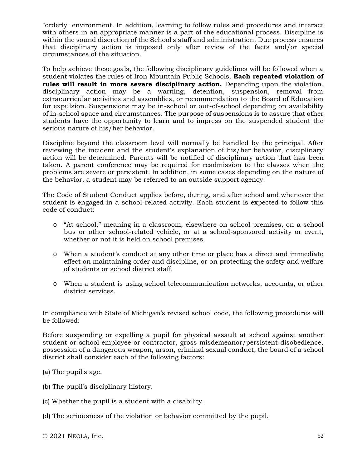"orderly" environment. In addition, learning to follow rules and procedures and interact with others in an appropriate manner is a part of the educational process. Discipline is within the sound discretion of the School's staff and administration. Due process ensures that disciplinary action is imposed only after review of the facts and/or special circumstances of the situation.

To help achieve these goals, the following disciplinary guidelines will be followed when a student violates the rules of Iron Mountain Public Schools. **Each repeated violation of rules will result in more severe disciplinary action.** Depending upon the violation, disciplinary action may be a warning, detention, suspension, removal from extracurricular activities and assemblies, or recommendation to the Board of Education for expulsion. Suspensions may be in-school or out-of-school depending on availability of in-school space and circumstances. The purpose of suspensions is to assure that other students have the opportunity to learn and to impress on the suspended student the serious nature of his/her behavior.

Discipline beyond the classroom level will normally be handled by the principal. After reviewing the incident and the student's explanation of his/her behavior, disciplinary action will be determined. Parents will be notified of disciplinary action that has been taken. A parent conference may be required for readmission to the classes when the problems are severe or persistent. In addition, in some cases depending on the nature of the behavior, a student may be referred to an outside support agency.

The Code of Student Conduct applies before, during, and after school and whenever the student is engaged in a school-related activity. Each student is expected to follow this code of conduct:

- o "At school," meaning in a classroom, elsewhere on school premises, on a school bus or other school-related vehicle, or at a school-sponsored activity or event, whether or not it is held on school premises.
- o When a student's conduct at any other time or place has a direct and immediate effect on maintaining order and discipline, or on protecting the safety and welfare of students or school district staff.
- o When a student is using school telecommunication networks, accounts, or other district services.

In compliance with State of Michigan's revised school code, the following procedures will be followed:

Before suspending or expelling a pupil for physical assault at school against another student or school employee or contractor, gross misdemeanor/persistent disobedience, possession of a dangerous weapon, arson, criminal sexual conduct, the board of a school district shall consider each of the following factors:

- (a) The pupil's age.
- (b) The pupil's disciplinary history.
- (c) Whether the pupil is a student with a disability.
- (d) The seriousness of the violation or behavior committed by the pupil.

© 2021 NEOLA, Inc. 52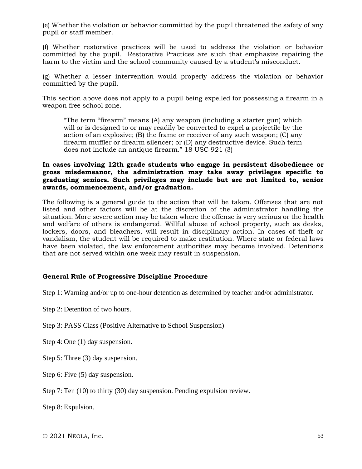(e) Whether the violation or behavior committed by the pupil threatened the safety of any pupil or staff member.

(f) Whether restorative practices will be used to address the violation or behavior committed by the pupil. Restorative Practices are such that emphasize repairing the harm to the victim and the school community caused by a student's misconduct.

(g) Whether a lesser intervention would properly address the violation or behavior committed by the pupil.

This section above does not apply to a pupil being expelled for possessing a firearm in a weapon free school zone.

"The term "firearm" means (A) any weapon (including a starter gun) which will or is designed to or may readily be converted to expel a projectile by the action of an explosive; (B) the frame or receiver of any such weapon; (C) any firearm muffler or firearm silencer; or (D) any destructive device. Such term does not include an antique firearm." 18 USC 921 (3)

### **In cases involving 12th grade students who engage in persistent disobedience or gross misdemeanor, the administration may take away privileges specific to graduating seniors. Such privileges may include but are not limited to, senior awards, commencement, and/or graduation.**

The following is a general guide to the action that will be taken. Offenses that are not listed and other factors will be at the discretion of the administrator handling the situation. More severe action may be taken where the offense is very serious or the health and welfare of others is endangered. Willful abuse of school property, such as desks, lockers, doors, and bleachers, will result in disciplinary action. In cases of theft or vandalism, the student will be required to make restitution. Where state or federal laws have been violated, the law enforcement authorities may become involved. Detentions that are not served within one week may result in suspension.

## **General Rule of Progressive Discipline Procedure**

Step 1: Warning and/or up to one-hour detention as determined by teacher and/or administrator.

Step 2: Detention of two hours.

Step 3: PASS Class (Positive Alternative to School Suspension)

Step 4: One (1) day suspension.

Step 5: Three (3) day suspension.

Step 6: Five (5) day suspension.

Step 7: Ten (10) to thirty (30) day suspension. Pending expulsion review.

Step 8: Expulsion.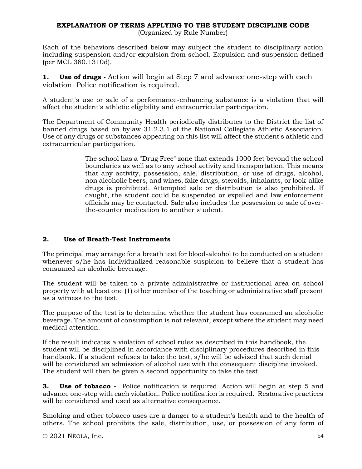# **EXPLANATION OF TERMS APPLYING TO THE STUDENT DISCIPLINE CODE**

(Organized by Rule Number)

Each of the behaviors described below may subject the student to disciplinary action including suspension and/or expulsion from school. Expulsion and suspension defined (per MCL 380.1310d).

**1. Use of drugs -** Action will begin at Step 7 and advance one-step with each violation. Police notification is required.

A student's use or sale of a performance-enhancing substance is a violation that will affect the student's athletic eligibility and extracurricular participation.

The Department of Community Health periodically distributes to the District the list of banned drugs based on bylaw 31.2.3.1 of the National Collegiate Athletic Association. Use of any drugs or substances appearing on this list will affect the student's athletic and extracurricular participation.

> The school has a "Drug Free" zone that extends 1000 feet beyond the school boundaries as well as to any school activity and transportation. This means that any activity, possession, sale, distribution, or use of drugs, alcohol, non alcoholic beers, and wines, fake drugs, steroids, inhalants, or look-alike drugs is prohibited. Attempted sale or distribution is also prohibited. If caught, the student could be suspended or expelled and law enforcement officials may be contacted. Sale also includes the possession or sale of overthe-counter medication to another student.

# **2. Use of Breath-Test Instruments**

The principal may arrange for a breath test for blood-alcohol to be conducted on a student whenever s/he has individualized reasonable suspicion to believe that a student has consumed an alcoholic beverage.

The student will be taken to a private administrative or instructional area on school property with at least one (1) other member of the teaching or administrative staff present as a witness to the test.

The purpose of the test is to determine whether the student has consumed an alcoholic beverage. The amount of consumption is not relevant, except where the student may need medical attention.

If the result indicates a violation of school rules as described in this handbook, the student will be disciplined in accordance with disciplinary procedures described in this handbook. If a student refuses to take the test, s/he will be advised that such denial will be considered an admission of alcohol use with the consequent discipline invoked. The student will then be given a second opportunity to take the test.

**3. Use of tobacco** - Police notification is required. Action will begin at step 5 and advance one-step with each violation. Police notification is required. Restorative practices will be considered and used as alternative consequence.

Smoking and other tobacco uses are a danger to a student's health and to the health of others. The school prohibits the sale, distribution, use, or possession of any form of

© 2021 NEOLA, Inc. 54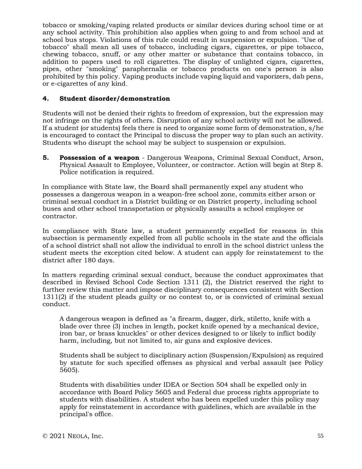tobacco or smoking/vaping related products or similar devices during school time or at any school activity. This prohibition also applies when going to and from school and at school bus stops. Violations of this rule could result in suspension or expulsion. "Use of tobacco" shall mean all uses of tobacco, including cigars, cigarettes, or pipe tobacco, chewing tobacco, snuff, or any other matter or substance that contains tobacco, in addition to papers used to roll cigarettes. The display of unlighted cigars, cigarettes, pipes, other "smoking" paraphernalia or tobacco products on one's person is also prohibited by this policy. Vaping products include vaping liquid and vaporizers, dab pens, or e-cigarettes of any kind.

## **4. Student disorder/demonstration**

Students will not be denied their rights to freedom of expression, but the expression may not infringe on the rights of others. Disruption of any school activity will not be allowed. If a student (or students) feels there is need to organize some form of demonstration, s/he is encouraged to contact the Principal to discuss the proper way to plan such an activity. Students who disrupt the school may be subject to suspension or expulsion.

**5. Possession of a weapon** - Dangerous Weapons, Criminal Sexual Conduct, Arson, Physical Assault to Employee, Volunteer, or contractor. Action will begin at Step 8. Police notification is required.

In compliance with State law, the Board shall permanently expel any student who possesses a dangerous weapon in a weapon-free school zone, commits either arson or criminal sexual conduct in a District building or on District property, including school buses and other school transportation or physically assaults a school employee or contractor.

In compliance with State law, a student permanently expelled for reasons in this subsection is permanently expelled from all public schools in the state and the officials of a school district shall not allow the individual to enroll in the school district unless the student meets the exception cited below. A student can apply for reinstatement to the district after 180 days.

In matters regarding criminal sexual conduct, because the conduct approximates that described in Revised School Code Section 1311 (2), the District reserved the right to further review this matter and impose disciplinary consequences consistent with Section 1311(2) if the student pleads guilty or no contest to, or is convicted of criminal sexual conduct.

A dangerous weapon is defined as "a firearm, dagger, dirk, stiletto, knife with a blade over three (3) inches in length, pocket knife opened by a mechanical device, iron bar, or brass knuckles" or other devices designed to or likely to inflict bodily harm, including, but not limited to, air guns and explosive devices.

Students shall be subject to disciplinary action (Suspension/Expulsion) as required by statute for such specified offenses as physical and verbal assault (see Policy 5605).

Students with disabilities under IDEA or Section 504 shall be expelled only in accordance with Board Policy 5605 and Federal due process rights appropriate to students with disabilities. A student who has been expelled under this policy may apply for reinstatement in accordance with guidelines, which are available in the principal's office.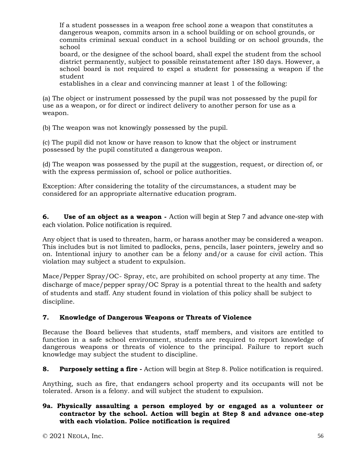If a student possesses in a weapon free school zone a weapon that constitutes a dangerous weapon, commits arson in a school building or on school grounds, or commits criminal sexual conduct in a school building or on school grounds, the school

board, or the designee of the school board, shall expel the student from the school district permanently, subject to possible reinstatement after 180 days. However, a school board is not required to expel a student for possessing a weapon if the student

establishes in a clear and convincing manner at least 1 of the following:

(a) The object or instrument possessed by the pupil was not possessed by the pupil for use as a weapon, or for direct or indirect delivery to another person for use as a weapon.

(b) The weapon was not knowingly possessed by the pupil.

(c) The pupil did not know or have reason to know that the object or instrument possessed by the pupil constituted a dangerous weapon.

(d) The weapon was possessed by the pupil at the suggestion, request, or direction of, or with the express permission of, school or police authorities.

Exception: After considering the totality of the circumstances, a student may be considered for an appropriate alternative education program.

**6. Use of an object as a weapon -** Action will begin at Step 7 and advance one-step with each violation. Police notification is required.

Any object that is used to threaten, harm, or harass another may be considered a weapon. This includes but is not limited to padlocks, pens, pencils, laser pointers, jewelry and so on. Intentional injury to another can be a felony and/or a cause for civil action. This violation may subject a student to expulsion.

Mace/Pepper Spray/OC- Spray, etc, are prohibited on school property at any time. The discharge of mace/pepper spray/OC Spray is a potential threat to the health and safety of students and staff. Any student found in violation of this policy shall be subject to discipline.

# **7. Knowledge of Dangerous Weapons or Threats of Violence**

Because the Board believes that students, staff members, and visitors are entitled to function in a safe school environment, students are required to report knowledge of dangerous weapons or threats of violence to the principal. Failure to report such knowledge may subject the student to discipline.

**8. Purposely setting a fire -** Action will begin at Step 8. Police notification is required.

Anything, such as fire, that endangers school property and its occupants will not be tolerated. Arson is a felony. and will subject the student to expulsion.

## **9a. Physically assaulting a person employed by or engaged as a volunteer or contractor by the school. Action will begin at Step 8 and advance one-step with each violation. Police notification is required**

© 2021 NEOLA, Inc. 56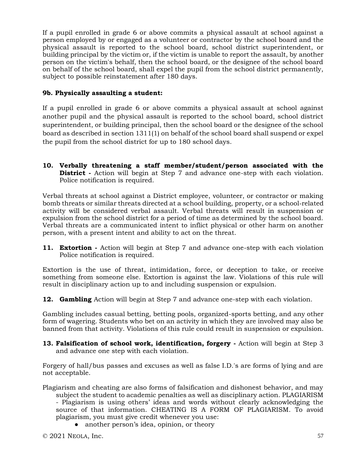If a pupil enrolled in grade 6 or above commits a physical assault at school against a person employed by or engaged as a volunteer or contractor by the school board and the physical assault is reported to the school board, school district superintendent, or building principal by the victim or, if the victim is unable to report the assault, by another person on the victim's behalf, then the school board, or the designee of the school board on behalf of the school board, shall expel the pupil from the school district permanently, subject to possible reinstatement after 180 days.

## **9b. Physically assaulting a student:**

If a pupil enrolled in grade 6 or above commits a physical assault at school against another pupil and the physical assault is reported to the school board, school district superintendent, or building principal, then the school board or the designee of the school board as described in section 1311(1) on behalf of the school board shall suspend or expel the pupil from the school district for up to 180 school days.

**10. Verbally threatening a staff member/student/person associated with the District -** Action will begin at Step 7 and advance one-step with each violation. Police notification is required.

Verbal threats at school against a District employee, volunteer, or contractor or making bomb threats or similar threats directed at a school building, property, or a school-related activity will be considered verbal assault. Verbal threats will result in suspension or expulsion from the school district for a period of time as determined by the school board. Verbal threats are a communicated intent to inflict physical or other harm on another person, with a present intent and ability to act on the threat.

**11. Extortion -** Action will begin at Step 7 and advance one-step with each violation Police notification is required.

Extortion is the use of threat, intimidation, force, or deception to take, or receive something from someone else. Extortion is against the law. Violations of this rule will result in disciplinary action up to and including suspension or expulsion.

**12. Gambling** Action will begin at Step 7 and advance one-step with each violation.

Gambling includes casual betting, betting pools, organized-sports betting, and any other form of wagering. Students who bet on an activity in which they are involved may also be banned from that activity. Violations of this rule could result in suspension or expulsion.

**13. Falsification of school work, identification, forgery -** Action will begin at Step 3 and advance one step with each violation.

Forgery of hall/bus passes and excuses as well as false I.D.'s are forms of lying and are not acceptable.

Plagiarism and cheating are also forms of falsification and dishonest behavior, and may subject the student to academic penalties as well as disciplinary action. PLAGIARISM - Plagiarism is using others' ideas and words without clearly acknowledging the source of that information. CHEATING IS A FORM OF PLAGIARISM. To avoid plagiarism, you must give credit whenever you use:

• another person's idea, opinion, or theory

 $\degree$  2021 NEOLA, Inc. 57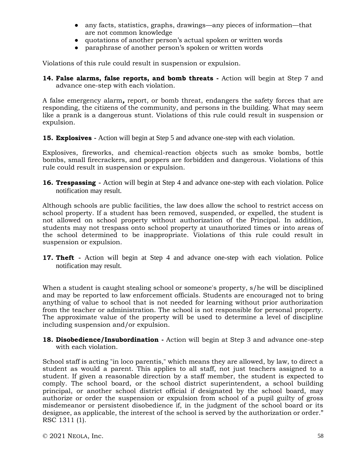- any facts, statistics, graphs, drawings—any pieces of information—that are not common knowledge
- quotations of another person's actual spoken or written words
- paraphrase of another person's spoken or written words

Violations of this rule could result in suspension or expulsion.

**14. False alarms, false reports, and bomb threats -** Action will begin at Step 7 and advance one-step with each violation.

A false emergency alarm*,* report, or bomb threat, endangers the safety forces that are responding, the citizens of the community, and persons in the building. What may seem like a prank is a dangerous stunt. Violations of this rule could result in suspension or expulsion.

**15. Explosives -** Action will begin at Step 5 and advance one-step with each violation.

Explosives, fireworks, and chemical-reaction objects such as smoke bombs, bottle bombs, small firecrackers, and poppers are forbidden and dangerous. Violations of this rule could result in suspension or expulsion.

**16. Trespassing -** Action will begin at Step 4 and advance one-step with each violation. Police notification may result.

Although schools are public facilities, the law does allow the school to restrict access on school property. If a student has been removed, suspended, or expelled, the student is not allowed on school property without authorization of the Principal. In addition, students may not trespass onto school property at unauthorized times or into areas of the school determined to be inappropriate. Violations of this rule could result in suspension or expulsion.

**17. Theft -** Action will begin at Step 4 and advance one-step with each violation. Police notification may result.

When a student is caught stealing school or someone's property, s/he will be disciplined and may be reported to law enforcement officials. Students are encouraged not to bring anything of value to school that is not needed for learning without prior authorization from the teacher or administration. The school is not responsible for personal property. The approximate value of the property will be used to determine a level of discipline including suspension and/or expulsion.

**18. Disobedience/Insubordination -** Action will begin at Step 3 and advance one-step with each violation.

School staff is acting "in loco parentis," which means they are allowed, by law, to direct a student as would a parent. This applies to all staff, not just teachers assigned to a student. If given a reasonable direction by a staff member, the student is expected to comply. The school board, or the school district superintendent, a school building principal, or another school district official if designated by the school board, may authorize or order the suspension or expulsion from school of a pupil guilty of gross misdemeanor or persistent disobedience if, in the judgment of the school board or its designee, as applicable, the interest of the school is served by the authorization or order." RSC 1311 (1).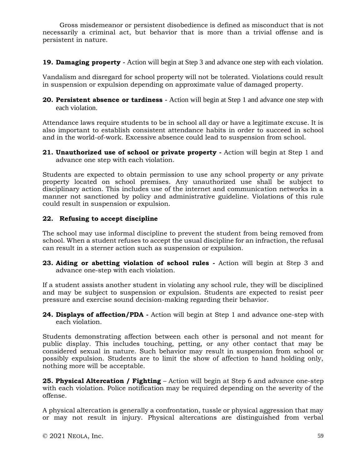Gross misdemeanor or persistent disobedience is defined as misconduct that is not necessarily a criminal act, but behavior that is more than a trivial offense and is persistent in nature.

**19. Damaging property -** Action will begin at Step 3 and advance one step with each violation.

Vandalism and disregard for school property will not be tolerated. Violations could result in suspension or expulsion depending on approximate value of damaged property.

**20. Persistent absence or tardiness -** Action will begin at Step 1 and advance one step with each violation.

Attendance laws require students to be in school all day or have a legitimate excuse. It is also important to establish consistent attendance habits in order to succeed in school and in the world-of-work. Excessive absence could lead to suspension from school.

**21. Unauthorized use of school or private property -** Action will begin at Step 1 and advance one step with each violation.

Students are expected to obtain permission to use any school property or any private property located on school premises. Any unauthorized use shall be subject to disciplinary action. This includes use of the internet and communication networks in a manner not sanctioned by policy and administrative guideline. Violations of this rule could result in suspension or expulsion.

### **22. Refusing to accept discipline**

The school may use informal discipline to prevent the student from being removed from school. When a student refuses to accept the usual discipline for an infraction, the refusal can result in a sterner action such as suspension or expulsion.

**23. Aiding or abetting violation of school rules -** Action will begin at Step 3 and advance one-step with each violation.

If a student assists another student in violating any school rule, they will be disciplined and may be subject to suspension or expulsion. Students are expected to resist peer pressure and exercise sound decision-making regarding their behavior.

**24. Displays of affection/PDA -** Action will begin at Step 1 and advance one-step with each violation.

Students demonstrating affection between each other is personal and not meant for public display. This includes touching, petting, or any other contact that may be considered sexual in nature. Such behavior may result in suspension from school or possibly expulsion. Students are to limit the show of affection to hand holding only, nothing more will be acceptable.

**25. Physical Altercation / Fighting** – Action will begin at Step 6 and advance one-step with each violation. Police notification may be required depending on the severity of the offense.

A physical altercation is generally a confrontation, tussle or physical aggression that may or may not result in injury. Physical altercations are distinguished from verbal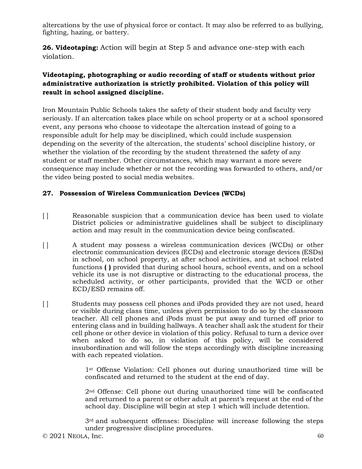altercations by the use of physical force or contact. It may also be referred to as bullying, fighting, hazing, or battery.

**26. Videotaping:** Action will begin at Step 5 and advance one-step with each violation.

# **Videotaping, photographing or audio recording of staff or students without prior administrative authorization is strictly prohibited. Violation of this policy will result in school assigned discipline.**

Iron Mountain Public Schools takes the safety of their student body and faculty very seriously. If an altercation takes place while on school property or at a school sponsored event, any persons who choose to videotape the altercation instead of going to a responsible adult for help may be disciplined, which could include suspension depending on the severity of the altercation, the students' school discipline history, or whether the violation of the recording by the student threatened the safety of any student or staff member. Other circumstances, which may warrant a more severe consequence may include whether or not the recording was forwarded to others, and/or the video being posted to social media websites.

# **27. Possession of Wireless Communication Devices (WCDs)**

- [] Reasonable suspicion that a communication device has been used to violate District policies or administrative guidelines shall be subject to disciplinary action and may result in the communication device being confiscated.
- [ ] A student may possess a wireless communication devices (WCDs) or other electronic communication devices (ECDs) and electronic storage devices (ESDs) in school, on school property, at after school activities, and at school related functions **( )** provided that during school hours, school events, and on a school vehicle its use is not disruptive or distracting to the educational process, the scheduled activity, or other participants, provided that the WCD or other ECD/ESD remains off.
- [] Students may possess cell phones and iPods provided they are not used, heard or visible during class time, unless given permission to do so by the classroom teacher. All cell phones and iPods must be put away and turned off prior to entering class and in building hallways. A teacher shall ask the student for their cell phone or other device in violation of this policy. Refusal to turn a device over when asked to do so, in violation of this policy, will be considered insubordination and will follow the steps accordingly with discipline increasing with each repeated violation.

1st Offense Violation: Cell phones out during unauthorized time will be confiscated and returned to the student at the end of day.

2nd Offense: Cell phone out during unauthorized time will be confiscated and returned to a parent or other adult at parent's request at the end of the school day. Discipline will begin at step 1 which will include detention.

 $3<sup>rd</sup>$  and subsequent offenses: Discipline will increase following the steps under progressive discipline procedures.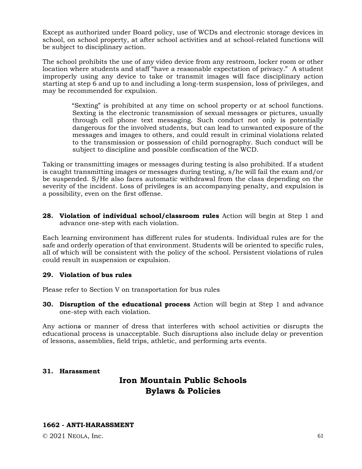Except as authorized under Board policy, use of WCDs and electronic storage devices in school, on school property, at after school activities and at school-related functions will be subject to disciplinary action.

The school prohibits the use of any video device from any restroom, locker room or other location where students and staff "have a reasonable expectation of privacy." A student improperly using any device to take or transmit images will face disciplinary action starting at step 6 and up to and including a long-term suspension, loss of privileges, and may be recommended for expulsion.

> "Sexting" is prohibited at any time on school property or at school functions. Sexting is the electronic transmission of sexual messages or pictures, usually through cell phone text messaging. Such conduct not only is potentially dangerous for the involved students, but can lead to unwanted exposure of the messages and images to others, and could result in criminal violations related to the transmission or possession of child pornography. Such conduct will be subject to discipline and possible confiscation of the WCD.

Taking or transmitting images or messages during testing is also prohibited. If a student is caught transmitting images or messages during testing, s/he will fail the exam and/or be suspended. S/He also faces automatic withdrawal from the class depending on the severity of the incident. Loss of privileges is an accompanying penalty, and expulsion is a possibility, even on the first offense.

**28. Violation of individual school/classroom rules** Action will begin at Step 1 and advance one-step with each violation.

Each learning environment has different rules for students. Individual rules are for the safe and orderly operation of that environment. Students will be oriented to specific rules, all of which will be consistent with the policy of the school. Persistent violations of rules could result in suspension or expulsion.

#### **29. Violation of bus rules**

Please refer to Section V on transportation for bus rules

**30. Disruption of the educational process** Action will begin at Step 1 and advance one-step with each violation.

Any actions or manner of dress that interferes with school activities or disrupts the educational process is unacceptable. Such disruptions also include delay or prevention of lessons, assemblies, field trips, athletic, and performing arts events.

#### **31. Harassment**

# **Iron Mountain Public Schools Bylaws & Policies**

#### **1662 - ANTI-HARASSMENT**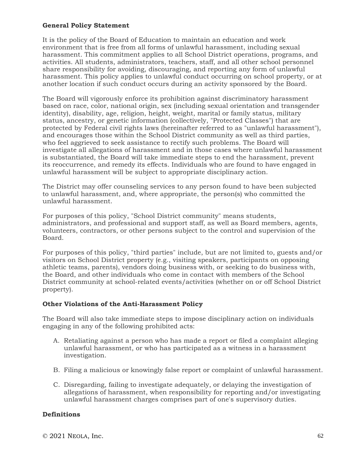### **General Policy Statement**

It is the policy of the Board of Education to maintain an education and work environment that is free from all forms of unlawful harassment, including sexual harassment. This commitment applies to all School District operations, programs, and activities. All students, administrators, teachers, staff, and all other school personnel share responsibility for avoiding, discouraging, and reporting any form of unlawful harassment. This policy applies to unlawful conduct occurring on school property, or at another location if such conduct occurs during an activity sponsored by the Board.

The Board will vigorously enforce its prohibition against discriminatory harassment based on race, color, national origin, sex (including sexual orientation and transgender identity), disability, age, religion, height, weight, marital or family status, military status, ancestry, or genetic information (collectively, "Protected Classes") that are protected by Federal civil rights laws (hereinafter referred to as "unlawful harassment"), and encourages those within the School District community as well as third parties, who feel aggrieved to seek assistance to rectify such problems. The Board will investigate all allegations of harassment and in those cases where unlawful harassment is substantiated, the Board will take immediate steps to end the harassment, prevent its reoccurrence, and remedy its effects. Individuals who are found to have engaged in unlawful harassment will be subject to appropriate disciplinary action.

The District may offer counseling services to any person found to have been subjected to unlawful harassment, and, where appropriate, the person(s) who committed the unlawful harassment.

For purposes of this policy, "School District community" means students, administrators, and professional and support staff, as well as Board members, agents, volunteers, contractors, or other persons subject to the control and supervision of the Board.

For purposes of this policy, "third parties" include, but are not limited to, guests and/or visitors on School District property (e.g., visiting speakers, participants on opposing athletic teams, parents), vendors doing business with, or seeking to do business with, the Board, and other individuals who come in contact with members of the School District community at school-related events/activities (whether on or off School District property).

#### **Other Violations of the Anti-Harassment Policy**

The Board will also take immediate steps to impose disciplinary action on individuals engaging in any of the following prohibited acts:

- A. Retaliating against a person who has made a report or filed a complaint alleging unlawful harassment, or who has participated as a witness in a harassment investigation.
- B. Filing a malicious or knowingly false report or complaint of unlawful harassment.
- C. Disregarding, failing to investigate adequately, or delaying the investigation of allegations of harassment, when responsibility for reporting and/or investigating unlawful harassment charges comprises part of one's supervisory duties.

#### **Definitions**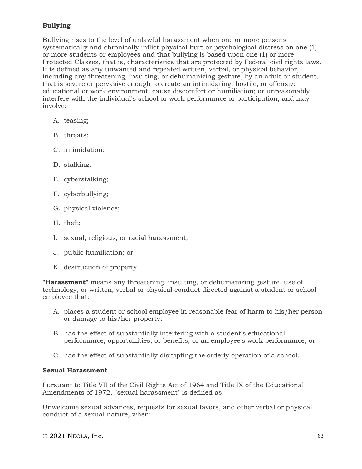# **Bullying**

Bullying rises to the level of unlawful harassment when one or more persons systematically and chronically inflict physical hurt or psychological distress on one (1) or more students or employees and that bullying is based upon one (1) or more Protected Classes, that is, characteristics that are protected by Federal civil rights laws. It is defined as any unwanted and repeated written, verbal, or physical behavior, including any threatening, insulting, or dehumanizing gesture, by an adult or student, that is severe or pervasive enough to create an intimidating, hostile, or offensive educational or work environment; cause discomfort or humiliation; or unreasonably interfere with the individual's school or work performance or participation; and may involve:

- A. teasing;
- B. threats;
- C. intimidation;
- D. stalking;
- E. cyberstalking;
- F. cyberbullying;
- G. physical violence;
- H. theft;
- I. sexual, religious, or racial harassment;
- J. public humiliation; or
- K. destruction of property.

**"Harassment"** means any threatening, insulting, or dehumanizing gesture, use of technology, or written, verbal or physical conduct directed against a student or school employee that:

- A. places a student or school employee in reasonable fear of harm to his/her person or damage to his/her property;
- B. has the effect of substantially interfering with a student's educational performance, opportunities, or benefits, or an employee's work performance; or
- C. has the effect of substantially disrupting the orderly operation of a school.

## **Sexual Harassment**

Pursuant to Title VII of the Civil Rights Act of 1964 and Title IX of the Educational Amendments of 1972, "sexual harassment" is defined as:

Unwelcome sexual advances, requests for sexual favors, and other verbal or physical conduct of a sexual nature, when: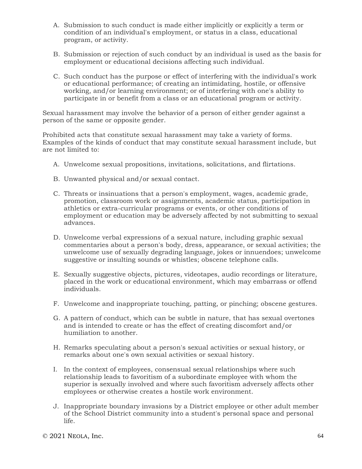- A. Submission to such conduct is made either implicitly or explicitly a term or condition of an individual's employment, or status in a class, educational program, or activity.
- B. Submission or rejection of such conduct by an individual is used as the basis for employment or educational decisions affecting such individual.
- C. Such conduct has the purpose or effect of interfering with the individual's work or educational performance; of creating an intimidating, hostile, or offensive working, and/or learning environment; or of interfering with one's ability to participate in or benefit from a class or an educational program or activity.

Sexual harassment may involve the behavior of a person of either gender against a person of the same or opposite gender.

Prohibited acts that constitute sexual harassment may take a variety of forms. Examples of the kinds of conduct that may constitute sexual harassment include, but are not limited to:

- A. Unwelcome sexual propositions, invitations, solicitations, and flirtations.
- B. Unwanted physical and/or sexual contact.
- C. Threats or insinuations that a person's employment, wages, academic grade, promotion, classroom work or assignments, academic status, participation in athletics or extra-curricular programs or events, or other conditions of employment or education may be adversely affected by not submitting to sexual advances.
- D. Unwelcome verbal expressions of a sexual nature, including graphic sexual commentaries about a person's body, dress, appearance, or sexual activities; the unwelcome use of sexually degrading language, jokes or innuendoes; unwelcome suggestive or insulting sounds or whistles; obscene telephone calls.
- E. Sexually suggestive objects, pictures, videotapes, audio recordings or literature, placed in the work or educational environment, which may embarrass or offend individuals.
- F. Unwelcome and inappropriate touching, patting, or pinching; obscene gestures.
- G. A pattern of conduct, which can be subtle in nature, that has sexual overtones and is intended to create or has the effect of creating discomfort and/or humiliation to another.
- H. Remarks speculating about a person's sexual activities or sexual history, or remarks about one's own sexual activities or sexual history.
- I. In the context of employees, consensual sexual relationships where such relationship leads to favoritism of a subordinate employee with whom the superior is sexually involved and where such favoritism adversely affects other employees or otherwise creates a hostile work environment.
- J. Inappropriate boundary invasions by a District employee or other adult member of the School District community into a student's personal space and personal life.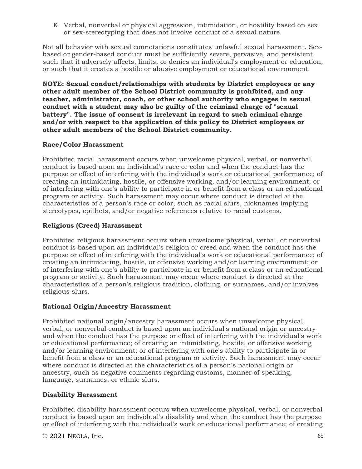K. Verbal, nonverbal or physical aggression, intimidation, or hostility based on sex or sex-stereotyping that does not involve conduct of a sexual nature.

Not all behavior with sexual connotations constitutes unlawful sexual harassment. Sexbased or gender-based conduct must be sufficiently severe, pervasive, and persistent such that it adversely affects, limits, or denies an individual's employment or education, or such that it creates a hostile or abusive employment or educational environment.

**NOTE: Sexual conduct/relationships with students by District employees or any other adult member of the School District community is prohibited, and any teacher, administrator, coach, or other school authority who engages in sexual conduct with a student may also be guilty of the criminal charge of "sexual battery". The issue of consent is irrelevant in regard to such criminal charge and/or with respect to the application of this policy to District employees or other adult members of the School District community.**

## **Race/Color Harassment**

Prohibited racial harassment occurs when unwelcome physical, verbal, or nonverbal conduct is based upon an individual's race or color and when the conduct has the purpose or effect of interfering with the individual's work or educational performance; of creating an intimidating, hostile, or offensive working, and/or learning environment; or of interfering with one's ability to participate in or benefit from a class or an educational program or activity. Such harassment may occur where conduct is directed at the characteristics of a person's race or color, such as racial slurs, nicknames implying stereotypes, epithets, and/or negative references relative to racial customs.

# **Religious (Creed) Harassment**

Prohibited religious harassment occurs when unwelcome physical, verbal, or nonverbal conduct is based upon an individual's religion or creed and when the conduct has the purpose or effect of interfering with the individual's work or educational performance; of creating an intimidating, hostile, or offensive working and/or learning environment; or of interfering with one's ability to participate in or benefit from a class or an educational program or activity. Such harassment may occur where conduct is directed at the characteristics of a person's religious tradition, clothing, or surnames, and/or involves religious slurs.

## **National Origin/Ancestry Harassment**

Prohibited national origin/ancestry harassment occurs when unwelcome physical, verbal, or nonverbal conduct is based upon an individual's national origin or ancestry and when the conduct has the purpose or effect of interfering with the individual's work or educational performance; of creating an intimidating, hostile, or offensive working and/or learning environment; or of interfering with one's ability to participate in or benefit from a class or an educational program or activity. Such harassment may occur where conduct is directed at the characteristics of a person's national origin or ancestry, such as negative comments regarding customs, manner of speaking, language, surnames, or ethnic slurs.

## **Disability Harassment**

Prohibited disability harassment occurs when unwelcome physical, verbal, or nonverbal conduct is based upon an individual's disability and when the conduct has the purpose or effect of interfering with the individual's work or educational performance; of creating

© 2021 NEOLA, Inc. 65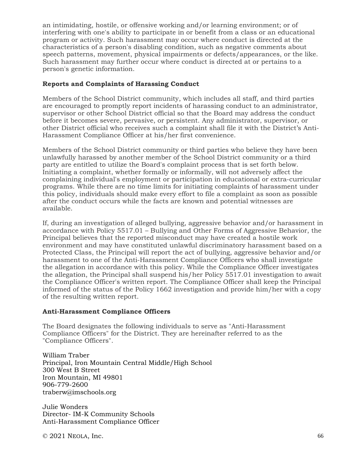an intimidating, hostile, or offensive working and/or learning environment; or of interfering with one's ability to participate in or benefit from a class or an educational program or activity. Such harassment may occur where conduct is directed at the characteristics of a person's disabling condition, such as negative comments about speech patterns, movement, physical impairments or defects/appearances, or the like. Such harassment may further occur where conduct is directed at or pertains to a person's genetic information.

### **Reports and Complaints of Harassing Conduct**

Members of the School District community, which includes all staff, and third parties are encouraged to promptly report incidents of harassing conduct to an administrator, supervisor or other School District official so that the Board may address the conduct before it becomes severe, pervasive, or persistent. Any administrator, supervisor, or other District official who receives such a complaint shall file it with the District's Anti-Harassment Compliance Officer at his/her first convenience.

Members of the School District community or third parties who believe they have been unlawfully harassed by another member of the School District community or a third party are entitled to utilize the Board's complaint process that is set forth below. Initiating a complaint, whether formally or informally, will not adversely affect the complaining individual's employment or participation in educational or extra-curricular programs. While there are no time limits for initiating complaints of harassment under this policy, individuals should make every effort to file a complaint as soon as possible after the conduct occurs while the facts are known and potential witnesses are available.

If, during an investigation of alleged bullying, aggressive behavior and/or harassment in accordance with Policy 5517.01 – Bullying and Other Forms of Aggressive Behavior, the Principal believes that the reported misconduct may have created a hostile work environment and may have constituted unlawful discriminatory harassment based on a Protected Class, the Principal will report the act of bullying, aggressive behavior and/or harassment to one of the Anti-Harassment Compliance Officers who shall investigate the allegation in accordance with this policy. While the Compliance Officer investigates the allegation, the Principal shall suspend his/her Policy 5517.01 investigation to await the Compliance Officer's written report. The Compliance Officer shall keep the Principal informed of the status of the Policy 1662 investigation and provide him/her with a copy of the resulting written report.

## **Anti-Harassment Compliance Officers**

The Board designates the following individuals to serve as "Anti-Harassment Compliance Officers" for the District. They are hereinafter referred to as the "Compliance Officers".

William Traber Principal, Iron Mountain Central Middle/High School 300 West B Street Iron Mountain, MI 49801 906-779-2600 traberw@imschools.org

Julie Wonders Director- IM-K Community Schools Anti-Harassment Compliance Officer

 $\degree$  2021 NEOLA, Inc. 66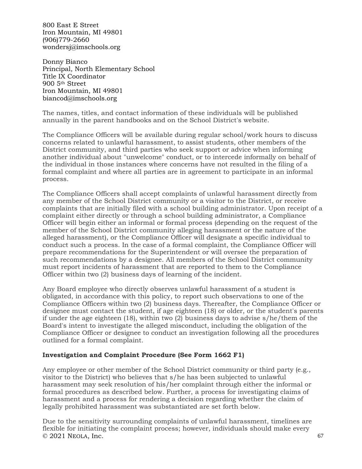800 East E Street Iron Mountain, MI 49801 (906)779-2660 wondersj@imschools.org

Donny Bianco Principal, North Elementary School Title IX Coordinator 900 5th Street Iron Mountain, MI 49801 biancod@imschools.org

The names, titles, and contact information of these individuals will be published annually in the parent handbooks and on the School District's website.

The Compliance Officers will be available during regular school/work hours to discuss concerns related to unlawful harassment, to assist students, other members of the District community, and third parties who seek support or advice when informing another individual about "unwelcome" conduct, or to intercede informally on behalf of the individual in those instances where concerns have not resulted in the filing of a formal complaint and where all parties are in agreement to participate in an informal process.

The Compliance Officers shall accept complaints of unlawful harassment directly from any member of the School District community or a visitor to the District, or receive complaints that are initially filed with a school building administrator. Upon receipt of a complaint either directly or through a school building administrator, a Compliance Officer will begin either an informal or formal process (depending on the request of the member of the School District community alleging harassment or the nature of the alleged harassment), or the Compliance Officer will designate a specific individual to conduct such a process. In the case of a formal complaint, the Compliance Officer will prepare recommendations for the Superintendent or will oversee the preparation of such recommendations by a designee. All members of the School District community must report incidents of harassment that are reported to them to the Compliance Officer within two (2) business days of learning of the incident.

Any Board employee who directly observes unlawful harassment of a student is obligated, in accordance with this policy, to report such observations to one of the Compliance Officers within two (2) business days. Thereafter, the Compliance Officer or designee must contact the student, if age eighteen (18) or older, or the student's parents if under the age eighteen (18), within two (2) business days to advise s/he/them of the Board's intent to investigate the alleged misconduct, including the obligation of the Compliance Officer or designee to conduct an investigation following all the procedures outlined for a formal complaint.

## **Investigation and Complaint Procedure (See Form 1662 F1)**

Any employee or other member of the School District community or third party (e.g., visitor to the District) who believes that s/he has been subjected to unlawful harassment may seek resolution of his/her complaint through either the informal or formal procedures as described below. Further, a process for investigating claims of harassment and a process for rendering a decision regarding whether the claim of legally prohibited harassment was substantiated are set forth below.

 $\degree$  2021 NEOLA, Inc. 67 Due to the sensitivity surrounding complaints of unlawful harassment, timelines are flexible for initiating the complaint process; however, individuals should make every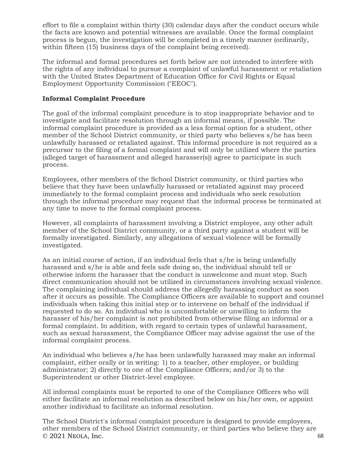effort to file a complaint within thirty (30) calendar days after the conduct occurs while the facts are known and potential witnesses are available. Once the formal complaint process is begun, the investigation will be completed in a timely manner (ordinarily, within fifteen (15) business days of the complaint being received).

The informal and formal procedures set forth below are not intended to interfere with the rights of any individual to pursue a complaint of unlawful harassment or retaliation with the United States Department of Education Office for Civil Rights or Equal Employment Opportunity Commission ("EEOC").

## **Informal Complaint Procedure**

The goal of the informal complaint procedure is to stop inappropriate behavior and to investigate and facilitate resolution through an informal means, if possible. The informal complaint procedure is provided as a less formal option for a student, other member of the School District community, or third party who believes s/he has been unlawfully harassed or retaliated against. This informal procedure is not required as a precursor to the filing of a formal complaint and will only be utilized where the parties (alleged target of harassment and alleged harasser(s)) agree to participate in such process.

Employees, other members of the School District community, or third parties who believe that they have been unlawfully harassed or retaliated against may proceed immediately to the formal complaint process and individuals who seek resolution through the informal procedure may request that the informal process be terminated at any time to move to the formal complaint process.

However, all complaints of harassment involving a District employee, any other adult member of the School District community, or a third party against a student will be formally investigated. Similarly, any allegations of sexual violence will be formally investigated.

As an initial course of action, if an individual feels that s/he is being unlawfully harassed and s/he is able and feels safe doing so, the individual should tell or otherwise inform the harasser that the conduct is unwelcome and must stop. Such direct communication should not be utilized in circumstances involving sexual violence. The complaining individual should address the allegedly harassing conduct as soon after it occurs as possible. The Compliance Officers are available to support and counsel individuals when taking this initial step or to intervene on behalf of the individual if requested to do so. An individual who is uncomfortable or unwilling to inform the harasser of his/her complaint is not prohibited from otherwise filing an informal or a formal complaint. In addition, with regard to certain types of unlawful harassment, such as sexual harassment, the Compliance Officer may advise against the use of the informal complaint process.

An individual who believes s/he has been unlawfully harassed may make an informal complaint, either orally or in writing: 1) to a teacher, other employee, or building administrator; 2) directly to one of the Compliance Officers; and/or 3) to the Superintendent or other District-level employee.

All informal complaints must be reported to one of the Compliance Officers who will either facilitate an informal resolution as described below on his/her own, or appoint another individual to facilitate an informal resolution.

 $\degree$  2021 NEOLA, Inc. 68 The School District's informal complaint procedure is designed to provide employees, other members of the School District community, or third parties who believe they are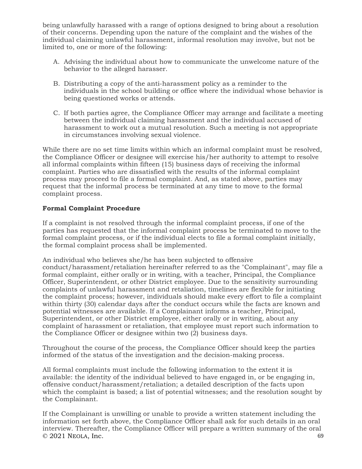being unlawfully harassed with a range of options designed to bring about a resolution of their concerns. Depending upon the nature of the complaint and the wishes of the individual claiming unlawful harassment, informal resolution may involve, but not be limited to, one or more of the following:

- A. Advising the individual about how to communicate the unwelcome nature of the behavior to the alleged harasser.
- B. Distributing a copy of the anti-harassment policy as a reminder to the individuals in the school building or office where the individual whose behavior is being questioned works or attends.
- C. If both parties agree, the Compliance Officer may arrange and facilitate a meeting between the individual claiming harassment and the individual accused of harassment to work out a mutual resolution. Such a meeting is not appropriate in circumstances involving sexual violence.

While there are no set time limits within which an informal complaint must be resolved, the Compliance Officer or designee will exercise his/her authority to attempt to resolve all informal complaints within fifteen (15) business days of receiving the informal complaint. Parties who are dissatisfied with the results of the informal complaint process may proceed to file a formal complaint. And, as stated above, parties may request that the informal process be terminated at any time to move to the formal complaint process.

## **Formal Complaint Procedure**

If a complaint is not resolved through the informal complaint process, if one of the parties has requested that the informal complaint process be terminated to move to the formal complaint process, or if the individual elects to file a formal complaint initially, the formal complaint process shall be implemented.

An individual who believes she/he has been subjected to offensive conduct/harassment/retaliation hereinafter referred to as the "Complainant", may file a formal complaint, either orally or in writing, with a teacher, Principal, the Compliance Officer, Superintendent, or other District employee. Due to the sensitivity surrounding complaints of unlawful harassment and retaliation, timelines are flexible for initiating the complaint process; however, individuals should make every effort to file a complaint within thirty (30) calendar days after the conduct occurs while the facts are known and potential witnesses are available. If a Complainant informs a teacher, Principal, Superintendent, or other District employee, either orally or in writing, about any complaint of harassment or retaliation, that employee must report such information to the Compliance Officer or designee within two (2) business days.

Throughout the course of the process, the Compliance Officer should keep the parties informed of the status of the investigation and the decision-making process.

All formal complaints must include the following information to the extent it is available: the identity of the individual believed to have engaged in, or be engaging in, offensive conduct/harassment/retaliation; a detailed description of the facts upon which the complaint is based; a list of potential witnesses; and the resolution sought by the Complainant.

 $\degree$  2021 NEOLA, Inc. 69 If the Complainant is unwilling or unable to provide a written statement including the information set forth above, the Compliance Officer shall ask for such details in an oral interview. Thereafter, the Compliance Officer will prepare a written summary of the oral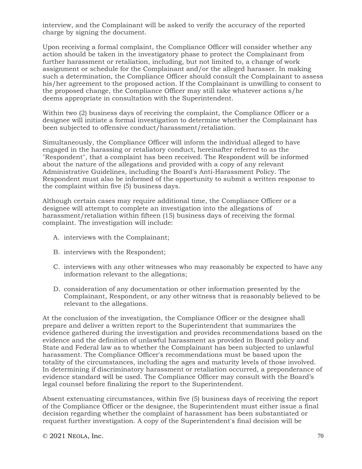interview, and the Complainant will be asked to verify the accuracy of the reported charge by signing the document.

Upon receiving a formal complaint, the Compliance Officer will consider whether any action should be taken in the investigatory phase to protect the Complainant from further harassment or retaliation, including, but not limited to, a change of work assignment or schedule for the Complainant and/or the alleged harasser. In making such a determination, the Compliance Officer should consult the Complainant to assess his/her agreement to the proposed action. If the Complainant is unwilling to consent to the proposed change, the Compliance Officer may still take whatever actions s/he deems appropriate in consultation with the Superintendent.

Within two (2) business days of receiving the complaint, the Compliance Officer or a designee will initiate a formal investigation to determine whether the Complainant has been subjected to offensive conduct/harassment/retaliation.

Simultaneously, the Compliance Officer will inform the individual alleged to have engaged in the harassing or retaliatory conduct, hereinafter referred to as the "Respondent", that a complaint has been received. The Respondent will be informed about the nature of the allegations and provided with a copy of any relevant Administrative Guidelines, including the Board's Anti-Harassment Policy. The Respondent must also be informed of the opportunity to submit a written response to the complaint within five (5) business days.

Although certain cases may require additional time, the Compliance Officer or a designee will attempt to complete an investigation into the allegations of harassment/retaliation within fifteen (15) business days of receiving the formal complaint. The investigation will include:

- A. interviews with the Complainant;
- B. interviews with the Respondent;
- C. interviews with any other witnesses who may reasonably be expected to have any information relevant to the allegations;
- D. consideration of any documentation or other information presented by the Complainant, Respondent, or any other witness that is reasonably believed to be relevant to the allegations.

At the conclusion of the investigation, the Compliance Officer or the designee shall prepare and deliver a written report to the Superintendent that summarizes the evidence gathered during the investigation and provides recommendations based on the evidence and the definition of unlawful harassment as provided in Board policy and State and Federal law as to whether the Complainant has been subjected to unlawful harassment. The Compliance Officer's recommendations must be based upon the totality of the circumstances, including the ages and maturity levels of those involved. In determining if discriminatory harassment or retaliation occurred, a preponderance of evidence standard will be used. The Compliance Officer may consult with the Board's legal counsel before finalizing the report to the Superintendent.

Absent extenuating circumstances, within five (5) business days of receiving the report of the Compliance Officer or the designee, the Superintendent must either issue a final decision regarding whether the complaint of harassment has been substantiated or request further investigation. A copy of the Superintendent's final decision will be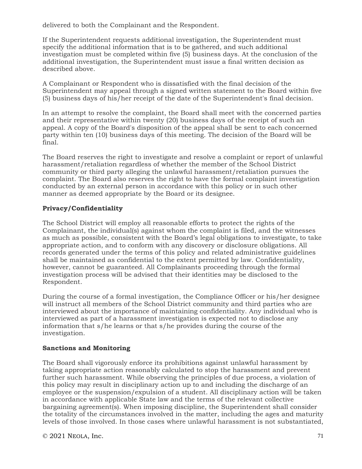delivered to both the Complainant and the Respondent.

If the Superintendent requests additional investigation, the Superintendent must specify the additional information that is to be gathered, and such additional investigation must be completed within five (5) business days. At the conclusion of the additional investigation, the Superintendent must issue a final written decision as described above.

A Complainant or Respondent who is dissatisfied with the final decision of the Superintendent may appeal through a signed written statement to the Board within five (5) business days of his/her receipt of the date of the Superintendent's final decision.

In an attempt to resolve the complaint, the Board shall meet with the concerned parties and their representative within twenty (20) business days of the receipt of such an appeal. A copy of the Board's disposition of the appeal shall be sent to each concerned party within ten (10) business days of this meeting. The decision of the Board will be final.

The Board reserves the right to investigate and resolve a complaint or report of unlawful harassment/retaliation regardless of whether the member of the School District community or third party alleging the unlawful harassment/retaliation pursues the complaint. The Board also reserves the right to have the formal complaint investigation conducted by an external person in accordance with this policy or in such other manner as deemed appropriate by the Board or its designee.

# **Privacy/Confidentiality**

The School District will employ all reasonable efforts to protect the rights of the Complainant, the individual(s) against whom the complaint is filed, and the witnesses as much as possible, consistent with the Board's legal obligations to investigate, to take appropriate action, and to conform with any discovery or disclosure obligations. All records generated under the terms of this policy and related administrative guidelines shall be maintained as confidential to the extent permitted by law. Confidentiality, however, cannot be guaranteed. All Complainants proceeding through the formal investigation process will be advised that their identities may be disclosed to the Respondent.

During the course of a formal investigation, the Compliance Officer or his/her designee will instruct all members of the School District community and third parties who are interviewed about the importance of maintaining confidentiality. Any individual who is interviewed as part of a harassment investigation is expected not to disclose any information that s/he learns or that s/he provides during the course of the investigation.

# **Sanctions and Monitoring**

The Board shall vigorously enforce its prohibitions against unlawful harassment by taking appropriate action reasonably calculated to stop the harassment and prevent further such harassment. While observing the principles of due process, a violation of this policy may result in disciplinary action up to and including the discharge of an employee or the suspension/expulsion of a student. All disciplinary action will be taken in accordance with applicable State law and the terms of the relevant collective bargaining agreement(s). When imposing discipline, the Superintendent shall consider the totality of the circumstances involved in the matter, including the ages and maturity levels of those involved. In those cases where unlawful harassment is not substantiated,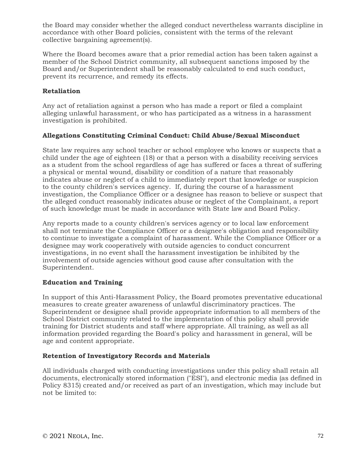the Board may consider whether the alleged conduct nevertheless warrants discipline in accordance with other Board policies, consistent with the terms of the relevant collective bargaining agreement(s).

Where the Board becomes aware that a prior remedial action has been taken against a member of the School District community, all subsequent sanctions imposed by the Board and/or Superintendent shall be reasonably calculated to end such conduct, prevent its recurrence, and remedy its effects.

## **Retaliation**

Any act of retaliation against a person who has made a report or filed a complaint alleging unlawful harassment, or who has participated as a witness in a harassment investigation is prohibited.

## **Allegations Constituting Criminal Conduct: Child Abuse/Sexual Misconduct**

State law requires any school teacher or school employee who knows or suspects that a child under the age of eighteen (18) or that a person with a disability receiving services as a student from the school regardless of age has suffered or faces a threat of suffering a physical or mental wound, disability or condition of a nature that reasonably indicates abuse or neglect of a child to immediately report that knowledge or suspicion to the county children's services agency. If, during the course of a harassment investigation, the Compliance Officer or a designee has reason to believe or suspect that the alleged conduct reasonably indicates abuse or neglect of the Complainant, a report of such knowledge must be made in accordance with State law and Board Policy.

Any reports made to a county children's services agency or to local law enforcement shall not terminate the Compliance Officer or a designee's obligation and responsibility to continue to investigate a complaint of harassment. While the Compliance Officer or a designee may work cooperatively with outside agencies to conduct concurrent investigations, in no event shall the harassment investigation be inhibited by the involvement of outside agencies without good cause after consultation with the Superintendent.

## **Education and Training**

In support of this Anti-Harassment Policy, the Board promotes preventative educational measures to create greater awareness of unlawful discriminatory practices. The Superintendent or designee shall provide appropriate information to all members of the School District community related to the implementation of this policy shall provide training for District students and staff where appropriate. All training, as well as all information provided regarding the Board's policy and harassment in general, will be age and content appropriate.

# **Retention of Investigatory Records and Materials**

All individuals charged with conducting investigations under this policy shall retain all documents, electronically stored information ("ESI"), and electronic media (as defined in Policy 8315) created and/or received as part of an investigation, which may include but not be limited to: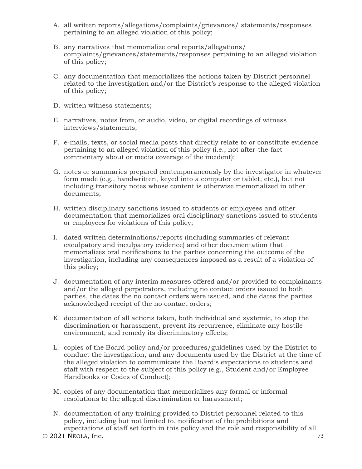- A. all written reports/allegations/complaints/grievances/ statements/responses pertaining to an alleged violation of this policy;
- B. any narratives that memorialize oral reports/allegations/ complaints/grievances/statements/responses pertaining to an alleged violation of this policy;
- C. any documentation that memorializes the actions taken by District personnel related to the investigation and/or the District's response to the alleged violation of this policy;
- D. written witness statements;
- E. narratives, notes from, or audio, video, or digital recordings of witness interviews/statements;
- F. e-mails, texts, or social media posts that directly relate to or constitute evidence pertaining to an alleged violation of this policy (i.e., not after-the-fact commentary about or media coverage of the incident);
- G. notes or summaries prepared contemporaneously by the investigator in whatever form made (e.g., handwritten, keyed into a computer or tablet, etc.), but not including transitory notes whose content is otherwise memorialized in other documents;
- H. written disciplinary sanctions issued to students or employees and other documentation that memorializes oral disciplinary sanctions issued to students or employees for violations of this policy;
- I. dated written determinations/reports (including summaries of relevant exculpatory and inculpatory evidence) and other documentation that memorializes oral notifications to the parties concerning the outcome of the investigation, including any consequences imposed as a result of a violation of this policy;
- J. documentation of any interim measures offered and/or provided to complainants and/or the alleged perpetrators, including no contact orders issued to both parties, the dates the no contact orders were issued, and the dates the parties acknowledged receipt of the no contact orders;
- K. documentation of all actions taken, both individual and systemic, to stop the discrimination or harassment, prevent its recurrence, eliminate any hostile environment, and remedy its discriminatory effects;
- L. copies of the Board policy and/or procedures/guidelines used by the District to conduct the investigation, and any documents used by the District at the time of the alleged violation to communicate the Board's expectations to students and staff with respect to the subject of this policy (e.g., Student and/or Employee Handbooks or Codes of Conduct);
- M. copies of any documentation that memorializes any formal or informal resolutions to the alleged discrimination or harassment;
- $\odot$  2021 NEOLA, Inc. 73 N. documentation of any training provided to District personnel related to this policy, including but not limited to, notification of the prohibitions and expectations of staff set forth in this policy and the role and responsibility of all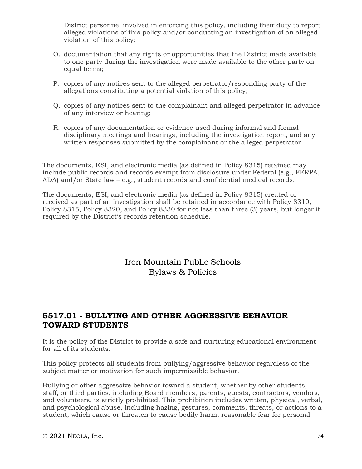District personnel involved in enforcing this policy, including their duty to report alleged violations of this policy and/or conducting an investigation of an alleged violation of this policy;

- O. documentation that any rights or opportunities that the District made available to one party during the investigation were made available to the other party on equal terms;
- P. copies of any notices sent to the alleged perpetrator/responding party of the allegations constituting a potential violation of this policy;
- Q. copies of any notices sent to the complainant and alleged perpetrator in advance of any interview or hearing;
- R. copies of any documentation or evidence used during informal and formal disciplinary meetings and hearings, including the investigation report, and any written responses submitted by the complainant or the alleged perpetrator.

The documents, ESI, and electronic media (as defined in Policy 8315) retained may include public records and records exempt from disclosure under Federal (e.g., FERPA, ADA) and/or State law – e.g., student records and confidential medical records.

The documents, ESI, and electronic media (as defined in Policy 8315) created or received as part of an investigation shall be retained in accordance with Policy 8310, Policy 8315, Policy 8320, and Policy 8330 for not less than three (3) years, but longer if required by the District's records retention schedule.

> Iron Mountain Public Schools Bylaws & Policies

# **5517.01 - BULLYING AND OTHER AGGRESSIVE BEHAVIOR TOWARD STUDENTS**

It is the policy of the District to provide a safe and nurturing educational environment for all of its students.

This policy protects all students from bullying/aggressive behavior regardless of the subject matter or motivation for such impermissible behavior.

Bullying or other aggressive behavior toward a student, whether by other students, staff, or third parties, including Board members, parents, guests, contractors, vendors, and volunteers, is strictly prohibited. This prohibition includes written, physical, verbal, and psychological abuse, including hazing, gestures, comments, threats, or actions to a student, which cause or threaten to cause bodily harm, reasonable fear for personal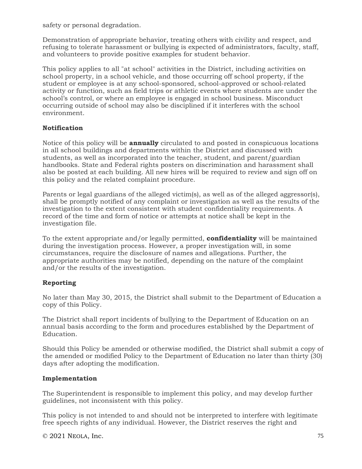safety or personal degradation.

Demonstration of appropriate behavior, treating others with civility and respect, and refusing to tolerate harassment or bullying is expected of administrators, faculty, staff, and volunteers to provide positive examples for student behavior.

This policy applies to all "at school" activities in the District, including activities on school property, in a school vehicle, and those occurring off school property, if the student or employee is at any school-sponsored, school-approved or school-related activity or function, such as field trips or athletic events where students are under the school's control, or where an employee is engaged in school business. Misconduct occurring outside of school may also be disciplined if it interferes with the school environment.

## **Notification**

Notice of this policy will be **annually** circulated to and posted in conspicuous locations in all school buildings and departments within the District and discussed with students, as well as incorporated into the teacher, student, and parent/guardian handbooks. State and Federal rights posters on discrimination and harassment shall also be posted at each building. All new hires will be required to review and sign off on this policy and the related complaint procedure.

Parents or legal guardians of the alleged victim(s), as well as of the alleged aggressor(s), shall be promptly notified of any complaint or investigation as well as the results of the investigation to the extent consistent with student confidentiality requirements. A record of the time and form of notice or attempts at notice shall be kept in the investigation file.

To the extent appropriate and/or legally permitted, **confidentiality** will be maintained during the investigation process. However, a proper investigation will, in some circumstances, require the disclosure of names and allegations. Further, the appropriate authorities may be notified, depending on the nature of the complaint and/or the results of the investigation.

# **Reporting**

No later than May 30, 2015, the District shall submit to the Department of Education a copy of this Policy.

The District shall report incidents of bullying to the Department of Education on an annual basis according to the form and procedures established by the Department of Education.

Should this Policy be amended or otherwise modified, the District shall submit a copy of the amended or modified Policy to the Department of Education no later than thirty (30) days after adopting the modification.

## **Implementation**

The Superintendent is responsible to implement this policy, and may develop further guidelines, not inconsistent with this policy.

This policy is not intended to and should not be interpreted to interfere with legitimate free speech rights of any individual. However, the District reserves the right and

 $\degree$  2021 NEOLA, Inc. 75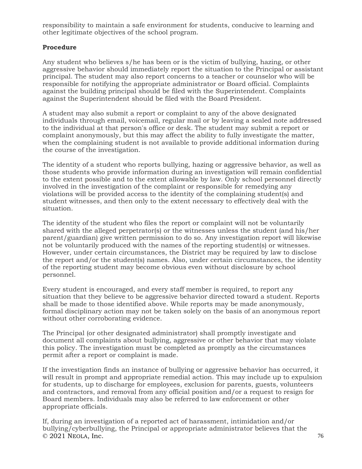responsibility to maintain a safe environment for students, conducive to learning and other legitimate objectives of the school program.

# **Procedure**

Any student who believes s/he has been or is the victim of bullying, hazing, or other aggressive behavior should immediately report the situation to the Principal or assistant principal. The student may also report concerns to a teacher or counselor who will be responsible for notifying the appropriate administrator or Board official. Complaints against the building principal should be filed with the Superintendent. Complaints against the Superintendent should be filed with the Board President.

A student may also submit a report or complaint to any of the above designated individuals through email, voicemail, regular mail or by leaving a sealed note addressed to the individual at that person's office or desk. The student may submit a report or complaint anonymously, but this may affect the ability to fully investigate the matter, when the complaining student is not available to provide additional information during the course of the investigation.

The identity of a student who reports bullying, hazing or aggressive behavior, as well as those students who provide information during an investigation will remain confidential to the extent possible and to the extent allowable by law. Only school personnel directly involved in the investigation of the complaint or responsible for remedying any violations will be provided access to the identity of the complaining student(s) and student witnesses, and then only to the extent necessary to effectively deal with the situation.

The identity of the student who files the report or complaint will not be voluntarily shared with the alleged perpetrator(s) or the witnesses unless the student (and his/her parent/guardian) give written permission to do so. Any investigation report will likewise not be voluntarily produced with the names of the reporting student(s) or witnesses. However, under certain circumstances, the District may be required by law to disclose the report and/or the student(s) names. Also, under certain circumstances, the identity of the reporting student may become obvious even without disclosure by school personnel.

Every student is encouraged, and every staff member is required, to report any situation that they believe to be aggressive behavior directed toward a student. Reports shall be made to those identified above. While reports may be made anonymously, formal disciplinary action may not be taken solely on the basis of an anonymous report without other corroborating evidence.

The Principal (or other designated administrator) shall promptly investigate and document all complaints about bullying, aggressive or other behavior that may violate this policy. The investigation must be completed as promptly as the circumstances permit after a report or complaint is made.

If the investigation finds an instance of bullying or aggressive behavior has occurred, it will result in prompt and appropriate remedial action. This may include up to expulsion for students, up to discharge for employees, exclusion for parents, guests, volunteers and contractors, and removal from any official position and/or a request to resign for Board members. Individuals may also be referred to law enforcement or other appropriate officials.

 $\degree$  2021 NEOLA, Inc. 76 If, during an investigation of a reported act of harassment, intimidation and/or bullying/cyberbullying, the Principal or appropriate administrator believes that the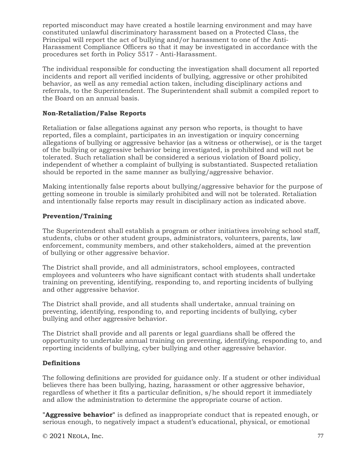reported misconduct may have created a hostile learning environment and may have constituted unlawful discriminatory harassment based on a Protected Class, the Principal will report the act of bullying and/or harassment to one of the Anti-Harassment Compliance Officers so that it may be investigated in accordance with the procedures set forth in Policy 5517 - Anti-Harassment.

The individual responsible for conducting the investigation shall document all reported incidents and report all verified incidents of bullying, aggressive or other prohibited behavior, as well as any remedial action taken, including disciplinary actions and referrals, to the Superintendent. The Superintendent shall submit a compiled report to the Board on an annual basis.

# **Non-Retaliation/False Reports**

Retaliation or false allegations against any person who reports, is thought to have reported, files a complaint, participates in an investigation or inquiry concerning allegations of bullying or aggressive behavior (as a witness or otherwise), or is the target of the bullying or aggressive behavior being investigated, is prohibited and will not be tolerated. Such retaliation shall be considered a serious violation of Board policy, independent of whether a complaint of bullying is substantiated. Suspected retaliation should be reported in the same manner as bullying/aggressive behavior.

Making intentionally false reports about bullying/aggressive behavior for the purpose of getting someone in trouble is similarly prohibited and will not be tolerated. Retaliation and intentionally false reports may result in disciplinary action as indicated above.

# **Prevention/Training**

The Superintendent shall establish a program or other initiatives involving school staff, students, clubs or other student groups, administrators, volunteers, parents, law enforcement, community members, and other stakeholders, aimed at the prevention of bullying or other aggressive behavior.

The District shall provide, and all administrators, school employees, contracted employees and volunteers who have significant contact with students shall undertake training on preventing, identifying, responding to, and reporting incidents of bullying and other aggressive behavior.

The District shall provide, and all students shall undertake, annual training on preventing, identifying, responding to, and reporting incidents of bullying, cyber bullying and other aggressive behavior.

The District shall provide and all parents or legal guardians shall be offered the opportunity to undertake annual training on preventing, identifying, responding to, and reporting incidents of bullying, cyber bullying and other aggressive behavior.

## **Definitions**

The following definitions are provided for guidance only. If a student or other individual believes there has been bullying, hazing, harassment or other aggressive behavior, regardless of whether it fits a particular definition, s/he should report it immediately and allow the administration to determine the appropriate course of action.

**"Aggressive behavior"** is defined as inappropriate conduct that is repeated enough, or serious enough, to negatively impact a student's educational, physical, or emotional

© 2021 NEOLA, Inc. 77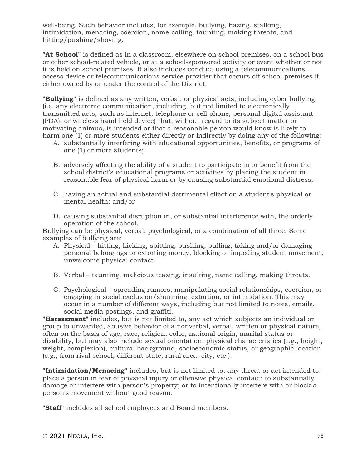well-being. Such behavior includes, for example, bullying, hazing, stalking, intimidation, menacing, coercion, name-calling, taunting, making threats, and hitting/pushing/shoving.

**"At School"** is defined as in a classroom, elsewhere on school premises, on a school bus or other school-related vehicle, or at a school-sponsored activity or event whether or not it is held on school premises. It also includes conduct using a telecommunications access device or telecommunications service provider that occurs off school premises if either owned by or under the control of the District.

**"Bullying"** is defined as any written, verbal, or physical acts, including cyber bullying (i.e. any electronic communication, including, but not limited to electronically transmitted acts, such as internet, telephone or cell phone, personal digital assistant (PDA), or wireless hand held device) that, without regard to its subject matter or motivating animus, is intended or that a reasonable person would know is likely to harm one (1) or more students either directly or indirectly by doing any of the following:

- A. substantially interfering with educational opportunities, benefits, or programs of one (1) or more students;
- B. adversely affecting the ability of a student to participate in or benefit from the school district's educational programs or activities by placing the student in reasonable fear of physical harm or by causing substantial emotional distress;
- C. having an actual and substantial detrimental effect on a student's physical or mental health; and/or
- D. causing substantial disruption in, or substantial interference with, the orderly operation of the school.

Bullying can be physical, verbal, psychological, or a combination of all three. Some examples of bullying are:

- A. Physical hitting, kicking, spitting, pushing, pulling; taking and/or damaging personal belongings or extorting money, blocking or impeding student movement, unwelcome physical contact.
- B. Verbal taunting, malicious teasing, insulting, name calling, making threats.
- C. Psychological spreading rumors, manipulating social relationships, coercion, or engaging in social exclusion/shunning, extortion, or intimidation. This may occur in a number of different ways, including but not limited to notes, emails, social media postings, and graffiti.

**"Harassment"** includes, but is not limited to, any act which subjects an individual or group to unwanted, abusive behavior of a nonverbal, verbal, written or physical nature, often on the basis of age, race, religion, color, national origin, marital status or disability, but may also include sexual orientation, physical characteristics (e.g., height, weight, complexion), cultural background, socioeconomic status, or geographic location (e.g., from rival school, different state, rural area, city, etc.).

**"Intimidation/Menacing"** includes, but is not limited to, any threat or act intended to: place a person in fear of physical injury or offensive physical contact; to substantially damage or interfere with person's property; or to intentionally interfere with or block a person's movement without good reason.

**"Staff"** includes all school employees and Board members.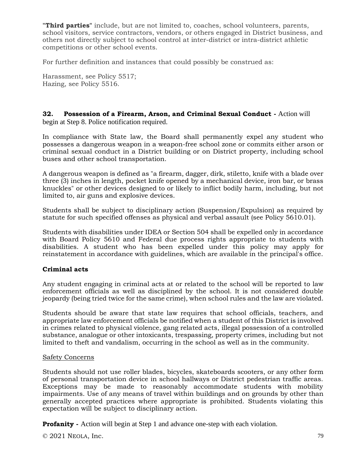**"Third parties"** include, but are not limited to, coaches, school volunteers, parents, school visitors, service contractors, vendors, or others engaged in District business, and others not directly subject to school control at inter-district or intra-district athletic competitions or other school events.

For further definition and instances that could possibly be construed as:

Harassment, see Policy 5517; Hazing, see Policy 5516.

### **32. Possession of a Firearm, Arson, and Criminal Sexual Conduct -** Action will begin at Step 8. Police notification required.

In compliance with State law, the Board shall permanently expel any student who possesses a dangerous weapon in a weapon-free school zone or commits either arson or criminal sexual conduct in a District building or on District property, including school buses and other school transportation.

A dangerous weapon is defined as "a firearm, dagger, dirk, stiletto, knife with a blade over three (3) inches in length, pocket knife opened by a mechanical device, iron bar, or brass knuckles" or other devices designed to or likely to inflict bodily harm, including, but not limited to, air guns and explosive devices.

Students shall be subject to disciplinary action (Suspension/Expulsion) as required by statute for such specified offenses as physical and verbal assault (see Policy 5610.01).

Students with disabilities under IDEA or Section 504 shall be expelled only in accordance with Board Policy 5610 and Federal due process rights appropriate to students with disabilities. A student who has been expelled under this policy may apply for reinstatement in accordance with guidelines, which are available in the principal's office.

## **Criminal acts**

Any student engaging in criminal acts at or related to the school will be reported to law enforcement officials as well as disciplined by the school. It is not considered double jeopardy (being tried twice for the same crime), when school rules and the law are violated.

Students should be aware that state law requires that school officials, teachers, and appropriate law enforcement officials be notified when a student of this District is involved in crimes related to physical violence, gang related acts, illegal possession of a controlled substance, analogue or other intoxicants, trespassing, property crimes, including but not limited to theft and vandalism, occurring in the school as well as in the community.

#### Safety Concerns

Students should not use roller blades, bicycles, skateboards scooters, or any other form of personal transportation device in school hallways or District pedestrian traffic areas. Exceptions may be made to reasonably accommodate students with mobility impairments. Use of any means of travel within buildings and on grounds by other than generally accepted practices where appropriate is prohibited. Students violating this expectation will be subject to disciplinary action.

**Profanity** - Action will begin at Step 1 and advance one-step with each violation.

© 2021 NEOLA, Inc. 79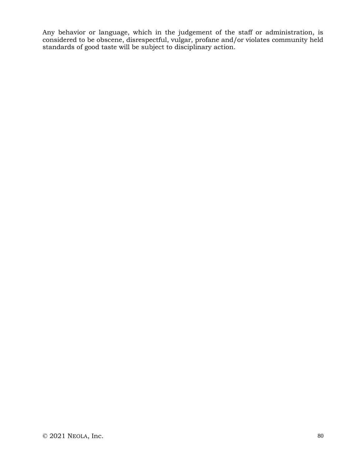Any behavior or language, which in the judgement of the staff or administration, is considered to be obscene, disrespectful, vulgar, profane and/or violates community held standards of good taste will be subject to disciplinary action.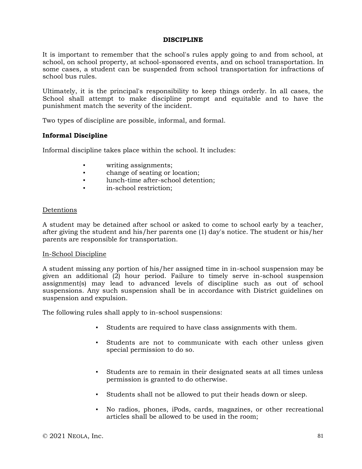#### **DISCIPLINE**

It is important to remember that the school's rules apply going to and from school, at school, on school property, at school-sponsored events, and on school transportation. In some cases, a student can be suspended from school transportation for infractions of school bus rules.

Ultimately, it is the principal's responsibility to keep things orderly. In all cases, the School shall attempt to make discipline prompt and equitable and to have the punishment match the severity of the incident.

Two types of discipline are possible, informal, and formal.

### **Informal Discipline**

Informal discipline takes place within the school. It includes:

- writing assignments;
- change of seating or location;
- lunch-time after-school detention;
- in-school restriction:

#### Detentions

A student may be detained after school or asked to come to school early by a teacher, after giving the student and his/her parents one (1) day's notice. The student or his/her parents are responsible for transportation.

#### In-School Discipline

A student missing any portion of his/her assigned time in in-school suspension may be given an additional (2) hour period. Failure to timely serve in-school suspension assignment(s) may lead to advanced levels of discipline such as out of school suspensions. Any such suspension shall be in accordance with District guidelines on suspension and expulsion.

The following rules shall apply to in-school suspensions:

- Students are required to have class assignments with them.
- Students are not to communicate with each other unless given special permission to do so.
- Students are to remain in their designated seats at all times unless permission is granted to do otherwise.
- Students shall not be allowed to put their heads down or sleep.
- No radios, phones, iPods, cards, magazines, or other recreational articles shall be allowed to be used in the room;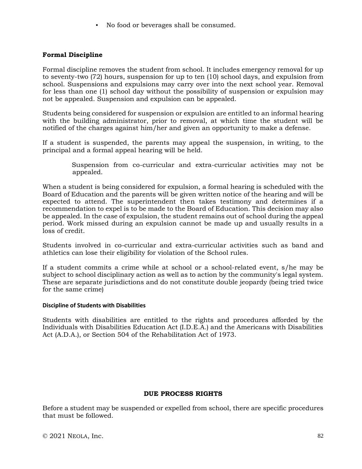▪ No food or beverages shall be consumed.

### **Formal Discipline**

Formal discipline removes the student from school. It includes emergency removal for up to seventy-two (72) hours, suspension for up to ten (10) school days, and expulsion from school. Suspensions and expulsions may carry over into the next school year. Removal for less than one (1) school day without the possibility of suspension or expulsion may not be appealed. Suspension and expulsion can be appealed.

Students being considered for suspension or expulsion are entitled to an informal hearing with the building administrator, prior to removal, at which time the student will be notified of the charges against him/her and given an opportunity to make a defense.

If a student is suspended, the parents may appeal the suspension, in writing, to the principal and a formal appeal hearing will be held.

> Suspension from co-curricular and extra-curricular activities may not be appealed.

When a student is being considered for expulsion, a formal hearing is scheduled with the Board of Education and the parents will be given written notice of the hearing and will be expected to attend. The superintendent then takes testimony and determines if a recommendation to expel is to be made to the Board of Education. This decision may also be appealed. In the case of expulsion, the student remains out of school during the appeal period. Work missed during an expulsion cannot be made up and usually results in a loss of credit.

Students involved in co-curricular and extra-curricular activities such as band and athletics can lose their eligibility for violation of the School rules.

If a student commits a crime while at school or a school-related event, s/he may be subject to school disciplinary action as well as to action by the community's legal system. These are separate jurisdictions and do not constitute double jeopardy (being tried twice for the same crime)

#### **Discipline of Students with Disabilities**

Students with disabilities are entitled to the rights and procedures afforded by the Individuals with Disabilities Education Act (I.D.E.A.) and the Americans with Disabilities Act (A.D.A.), or Section 504 of the Rehabilitation Act of 1973.

#### **DUE PROCESS RIGHTS**

Before a student may be suspended or expelled from school, there are specific procedures that must be followed.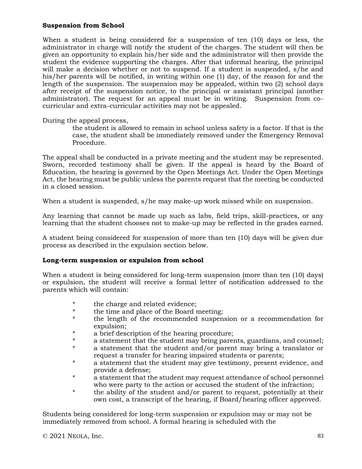### **Suspension from School**

When a student is being considered for a suspension of ten (10) days or less, the administrator in charge will notify the student of the charges. The student will then be given an opportunity to explain his/her side and the administrator will then provide the student the evidence supporting the charges. After that informal hearing, the principal will make a decision whether or not to suspend. If a student is suspended, s/he and his/her parents will be notified, in writing within one (1) day, of the reason for and the length of the suspension. The suspension may be appealed, within two (2) school days after receipt of the suspension notice, to the principal or assistant principal (another administrator). The request for an appeal must be in writing. Suspension from cocurricular and extra-curricular activities may not be appealed.

During the appeal process,

the student is allowed to remain in school unless safety is a factor. If that is the case, the student shall be immediately removed under the Emergency Removal Procedure.

The appeal shall be conducted in a private meeting and the student may be represented. Sworn, recorded testimony shall be given. If the appeal is heard by the Board of Education, the hearing is governed by the Open Meetings Act. Under the Open Meetings Act, the hearing must be public unless the parents request that the meeting be conducted in a closed session.

When a student is suspended, s/he may make-up work missed while on suspension.

Any learning that cannot be made up such as labs, field trips, skill-practices, or any learning that the student chooses not to make-up may be reflected in the grades earned.

A student being considered for suspension of more than ten (10) days will be given due process as described in the expulsion section below.

## **Long-term suspension or expulsion from school**

When a student is being considered for long-term suspension (more than ten (10) days) or expulsion, the student will receive a formal letter of notification addressed to the parents which will contain:

- \* the charge and related evidence;<br>\* the time and place of the Board r
- \* the time and place of the Board meeting;<br>\* the length of the recommended suspension
- the length of the recommended suspension or a recommendation for expulsion;
- \* a brief description of the hearing procedure;
- \* a statement that the student may bring parents, guardians, and counsel;
- a statement that the student and/or parent may bring a translator or request a transfer for hearing impaired students or parents;
- \* a statement that the student may give testimony, present evidence, and provide a defense;
- \* a statement that the student may request attendance of school personnel who were party to the action or accused the student of the infraction;
- \* the ability of the student and/or parent to request, potentially at their own cost, a transcript of the hearing, if Board/hearing officer approved.

Students being considered for long-term suspension or expulsion may or may not be immediately removed from school. A formal hearing is scheduled with the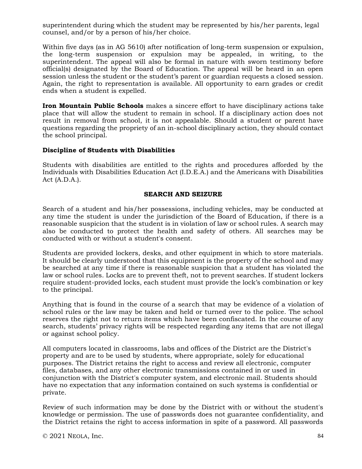superintendent during which the student may be represented by his/her parents, legal counsel, and/or by a person of his/her choice.

Within five days (as in AG 5610) after notification of long-term suspension or expulsion, the long-term suspension or expulsion may be appealed, in writing, to the superintendent. The appeal will also be formal in nature with sworn testimony before official(s) designated by the Board of Education. The appeal will be heard in an open session unless the student or the student's parent or guardian requests a closed session. Again, the right to representation is available. All opportunity to earn grades or credit ends when a student is expelled.

**Iron Mountain Public Schools** makes a sincere effort to have disciplinary actions take place that will allow the student to remain in school. If a disciplinary action does not result in removal from school, it is not appealable. Should a student or parent have questions regarding the propriety of an in-school disciplinary action, they should contact the school principal.

### **Discipline of Students with Disabilities**

Students with disabilities are entitled to the rights and procedures afforded by the Individuals with Disabilities Education Act (I.D.E.A.) and the Americans with Disabilities Act (A.D.A.).

### **SEARCH AND SEIZURE**

Search of a student and his/her possessions, including vehicles, may be conducted at any time the student is under the jurisdiction of the Board of Education, if there is a reasonable suspicion that the student is in violation of law or school rules. A search may also be conducted to protect the health and safety of others. All searches may be conducted with or without a student's consent.

Students are provided lockers, desks, and other equipment in which to store materials. It should be clearly understood that this equipment is the property of the school and may be searched at any time if there is reasonable suspicion that a student has violated the law or school rules. Locks are to prevent theft, not to prevent searches. If student lockers require student-provided locks, each student must provide the lock's combination or key to the principal.

Anything that is found in the course of a search that may be evidence of a violation of school rules or the law may be taken and held or turned over to the police. The school reserves the right not to return items which have been confiscated. In the course of any search, students' privacy rights will be respected regarding any items that are not illegal or against school policy.

All computers located in classrooms, labs and offices of the District are the District's property and are to be used by students, where appropriate, solely for educational purposes. The District retains the right to access and review all electronic, computer files, databases, and any other electronic transmissions contained in or used in conjunction with the District's computer system, and electronic mail. Students should have no expectation that any information contained on such systems is confidential or private.

Review of such information may be done by the District with or without the student's knowledge or permission. The use of passwords does not guarantee confidentiality, and the District retains the right to access information in spite of a password. All passwords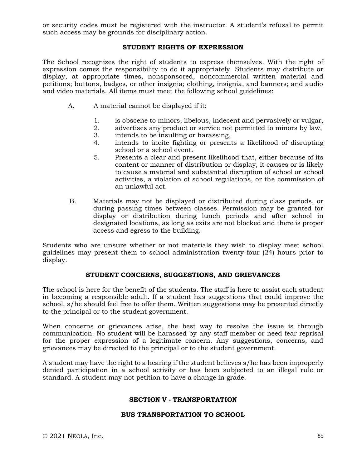or security codes must be registered with the instructor. A student's refusal to permit such access may be grounds for disciplinary action.

# **STUDENT RIGHTS OF EXPRESSION**

The School recognizes the right of students to express themselves. With the right of expression comes the responsibility to do it appropriately. Students may distribute or display, at appropriate times, nonsponsored, noncommercial written material and petitions; buttons, badges, or other insignia; clothing, insignia, and banners; and audio and video materials. All items must meet the following school guidelines:

- A. A material cannot be displayed if it:
	- 1. is obscene to minors, libelous, indecent and pervasively or vulgar,
	- 2. advertises any product or service not permitted to minors by law,
	- 3. intends to be insulting or harassing,
	- 4. intends to incite fighting or presents a likelihood of disrupting school or a school event.
	- 5. Presents a clear and present likelihood that, either because of its content or manner of distribution or display, it causes or is likely to cause a material and substantial disruption of school or school activities, a violation of school regulations, or the commission of an unlawful act.
- B. Materials may not be displayed or distributed during class periods, or during passing times between classes. Permission may be granted for display or distribution during lunch periods and after school in designated locations, as long as exits are not blocked and there is proper access and egress to the building.

Students who are unsure whether or not materials they wish to display meet school guidelines may present them to school administration twenty-four (24) hours prior to display.

## **STUDENT CONCERNS, SUGGESTIONS, AND GRIEVANCES**

The school is here for the benefit of the students. The staff is here to assist each student in becoming a responsible adult. If a student has suggestions that could improve the school, s/he should feel free to offer them. Written suggestions may be presented directly to the principal or to the student government.

When concerns or grievances arise, the best way to resolve the issue is through communication. No student will be harassed by any staff member or need fear reprisal for the proper expression of a legitimate concern. Any suggestions, concerns, and grievances may be directed to the principal or to the student government.

A student may have the right to a hearing if the student believes s/he has been improperly denied participation in a school activity or has been subjected to an illegal rule or standard. A student may not petition to have a change in grade.

#### **SECTION V - TRANSPORTATION**

#### **BUS TRANSPORTATION TO SCHOOL**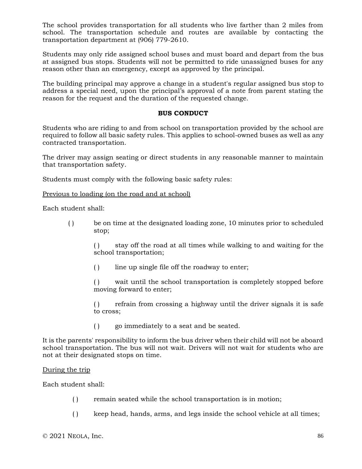The school provides transportation for all students who live farther than 2 miles from school. The transportation schedule and routes are available by contacting the transportation department at (906) 779-2610.

Students may only ride assigned school buses and must board and depart from the bus at assigned bus stops. Students will not be permitted to ride unassigned buses for any reason other than an emergency, except as approved by the principal.

The building principal may approve a change in a student's regular assigned bus stop to address a special need, upon the principal's approval of a note from parent stating the reason for the request and the duration of the requested change.

#### **BUS CONDUCT**

Students who are riding to and from school on transportation provided by the school are required to follow all basic safety rules. This applies to school-owned buses as well as any contracted transportation.

The driver may assign seating or direct students in any reasonable manner to maintain that transportation safety.

Students must comply with the following basic safety rules:

Previous to loading (on the road and at school)

Each student shall:

( ) be on time at the designated loading zone, 10 minutes prior to scheduled stop;

> ( ) stay off the road at all times while walking to and waiting for the school transportation;

( ) line up single file off the roadway to enter;

( ) wait until the school transportation is completely stopped before moving forward to enter;

( ) refrain from crossing a highway until the driver signals it is safe to cross;

( ) go immediately to a seat and be seated.

It is the parents' responsibility to inform the bus driver when their child will not be aboard school transportation. The bus will not wait. Drivers will not wait for students who are not at their designated stops on time.

#### During the trip

Each student shall:

- ( ) remain seated while the school transportation is in motion;
- ( ) keep head, hands, arms, and legs inside the school vehicle at all times;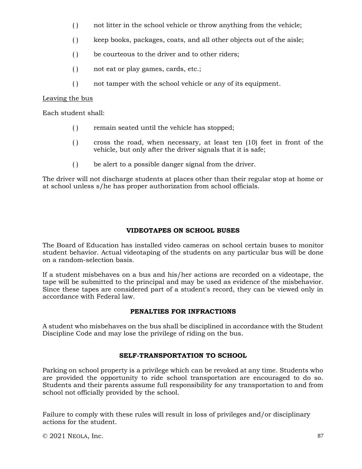- () not litter in the school vehicle or throw anything from the vehicle;
- ( ) keep books, packages, coats, and all other objects out of the aisle;
- ( ) be courteous to the driver and to other riders;
- ( ) not eat or play games, cards, etc.;
- ( ) not tamper with the school vehicle or any of its equipment.

# Leaving the bus

Each student shall:

- ( ) remain seated until the vehicle has stopped;
- ( ) cross the road, when necessary, at least ten (10) feet in front of the vehicle, but only after the driver signals that it is safe;
- ( ) be alert to a possible danger signal from the driver.

The driver will not discharge students at places other than their regular stop at home or at school unless s/he has proper authorization from school officials.

# **VIDEOTAPES ON SCHOOL BUSES**

The Board of Education has installed video cameras on school certain buses to monitor student behavior. Actual videotaping of the students on any particular bus will be done on a random-selection basis.

If a student misbehaves on a bus and his/her actions are recorded on a videotape, the tape will be submitted to the principal and may be used as evidence of the misbehavior. Since these tapes are considered part of a student's record, they can be viewed only in accordance with Federal law.

# **PENALTIES FOR INFRACTIONS**

A student who misbehaves on the bus shall be disciplined in accordance with the Student Discipline Code and may lose the privilege of riding on the bus.

## **SELF-TRANSPORTATION TO SCHOOL**

Parking on school property is a privilege which can be revoked at any time. Students who are provided the opportunity to ride school transportation are encouraged to do so. Students and their parents assume full responsibility for any transportation to and from school not officially provided by the school.

Failure to comply with these rules will result in loss of privileges and/or disciplinary actions for the student.

© 2021 NEOLA, Inc. 87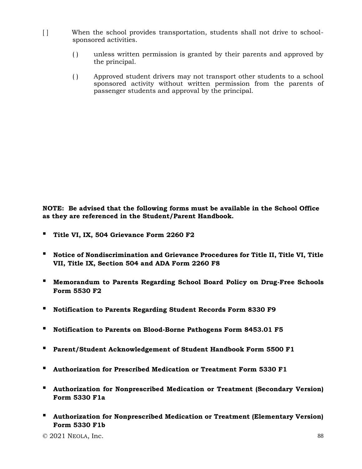- [ ] When the school provides transportation, students shall not drive to schoolsponsored activities.
	- ( ) unless written permission is granted by their parents and approved by the principal.
	- ( ) Approved student drivers may not transport other students to a school sponsored activity without written permission from the parents of passenger students and approval by the principal.

**NOTE: Be advised that the following forms must be available in the School Office as they are referenced in the Student/Parent Handbook.**

- **▪ Title VI, IX, 504 Grievance Form 2260 F2**
- **▪ Notice of Nondiscrimination and Grievance Procedures for Title II, Title VI, Title VII, Title IX, Section 504 and ADA Form 2260 F8**
- **▪ Memorandum to Parents Regarding School Board Policy on Drug-Free Schools Form 5530 F2**
- **▪ Notification to Parents Regarding Student Records Form 8330 F9**
- **▪ Notification to Parents on Blood-Borne Pathogens Form 8453.01 F5**
- **▪ Parent/Student Acknowledgement of Student Handbook Form 5500 F1**
- **▪ Authorization for Prescribed Medication or Treatment Form 5330 F1**
- **▪ Authorization for Nonprescribed Medication or Treatment (Secondary Version) Form 5330 F1a**
- **▪ Authorization for Nonprescribed Medication or Treatment (Elementary Version) Form 5330 F1b**

 $\degree$  2021 NEOLA, Inc. 88